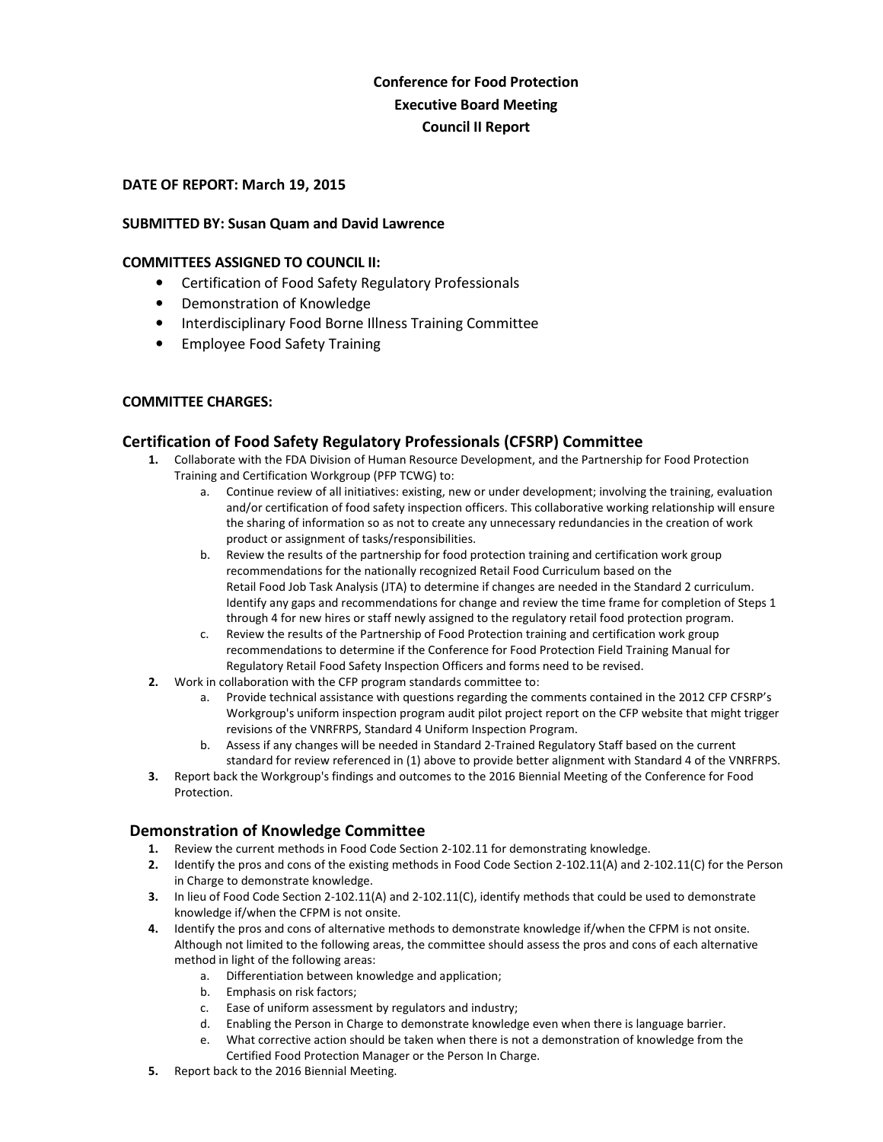## **Conference for Food Protection Executive Board Meeting Council II Report**

#### **DATE OF REPORT: March 19, 2015**

#### **SUBMITTED BY: Susan Quam and David Lawrence**

#### **COMMITTEES ASSIGNED TO COUNCIL II:**

- Certification of Food Safety Regulatory Professionals
- Demonstration of Knowledge
- Interdisciplinary Food Borne Illness Training Committee
- Employee Food Safety Training

#### **COMMITTEE CHARGES:**

#### **Certification of Food Safety Regulatory Professionals (CFSRP) Committee**

- **1.** Collaborate with the FDA Division of Human Resource Development, and the Partnership for Food Protection Training and Certification Workgroup (PFP TCWG) to:
	- a. Continue review of all initiatives: existing, new or under development; involving the training, evaluation and/or certification of food safety inspection officers. This collaborative working relationship will ensure the sharing of information so as not to create any unnecessary redundancies in the creation of work product or assignment of tasks/responsibilities.
	- b. Review the results of the partnership for food protection training and certification work group recommendations for the nationally recognized Retail Food Curriculum based on the Retail Food Job Task Analysis (JTA) to determine if changes are needed in the Standard 2 curriculum. Identify any gaps and recommendations for change and review the time frame for completion of Steps 1 through 4 for new hires or staff newly assigned to the regulatory retail food protection program.
	- c. Review the results of the Partnership of Food Protection training and certification work group recommendations to determine if the Conference for Food Protection Field Training Manual for Regulatory Retail Food Safety Inspection Officers and forms need to be revised.
- **2.** Work in collaboration with the CFP program standards committee to:
	- a. Provide technical assistance with questions regarding the comments contained in the 2012 CFP CFSRP's Workgroup's uniform inspection program audit pilot project report on the CFP website that might trigger revisions of the VNRFRPS, Standard 4 Uniform Inspection Program.
	- b. Assess if any changes will be needed in Standard 2-Trained Regulatory Staff based on the current standard for review referenced in (1) above to provide better alignment with Standard 4 of the VNRFRPS.
- **3.** Report back the Workgroup's findings and outcomes to the 2016 Biennial Meeting of the Conference for Food Protection.

#### **Demonstration of Knowledge Committee**

- **1.** Review the current methods in Food Code Section 2-102.11 for demonstrating knowledge.
- **2.** Identify the pros and cons of the existing methods in Food Code Section 2-102.11(A) and 2-102.11(C) for the Person in Charge to demonstrate knowledge.
- **3.** In lieu of Food Code Section 2-102.11(A) and 2-102.11(C), identify methods that could be used to demonstrate knowledge if/when the CFPM is not onsite.
- **4.** Identify the pros and cons of alternative methods to demonstrate knowledge if/when the CFPM is not onsite. Although not limited to the following areas, the committee should assess the pros and cons of each alternative method in light of the following areas:
	- a. Differentiation between knowledge and application;
	- b. Emphasis on risk factors;
	- c. Ease of uniform assessment by regulators and industry;
	- d. Enabling the Person in Charge to demonstrate knowledge even when there is language barrier.
	- e. What corrective action should be taken when there is not a demonstration of knowledge from the Certified Food Protection Manager or the Person In Charge.
- **5.** Report back to the 2016 Biennial Meeting.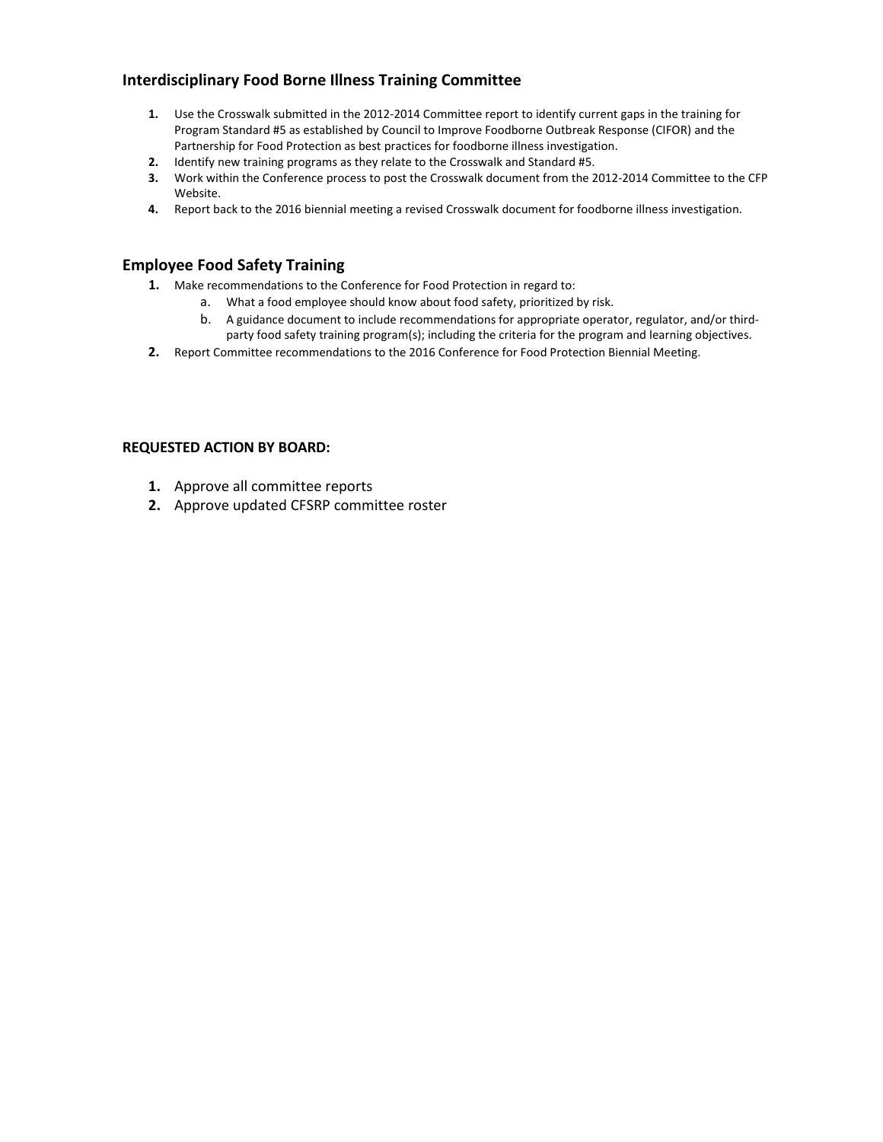#### **Interdisciplinary Food Borne Illness Training Committee**

- **1.** Use the Crosswalk submitted in the 2012-2014 Committee report to identify current gaps in the training for Program Standard #5 as established by Council to Improve Foodborne Outbreak Response (CIFOR) and the Partnership for Food Protection as best practices for foodborne illness investigation.
- **2.** Identify new training programs as they relate to the Crosswalk and Standard #5.
- **3.** Work within the Conference process to post the Crosswalk document from the 2012-2014 Committee to the CFP Website.
- **4.** Report back to the 2016 biennial meeting a revised Crosswalk document for foodborne illness investigation.

#### **Employee Food Safety Training**

- **1.** Make recommendations to the Conference for Food Protection in regard to:
	- a. What a food employee should know about food safety, prioritized by risk.
	- b. A guidance document to include recommendations for appropriate operator, regulator, and/or thirdparty food safety training program(s); including the criteria for the program and learning objectives.
- **2.** Report Committee recommendations to the 2016 Conference for Food Protection Biennial Meeting.

#### **REQUESTED ACTION BY BOARD:**

- **1.** Approve all committee reports
- **2.** Approve updated CFSRP committee roster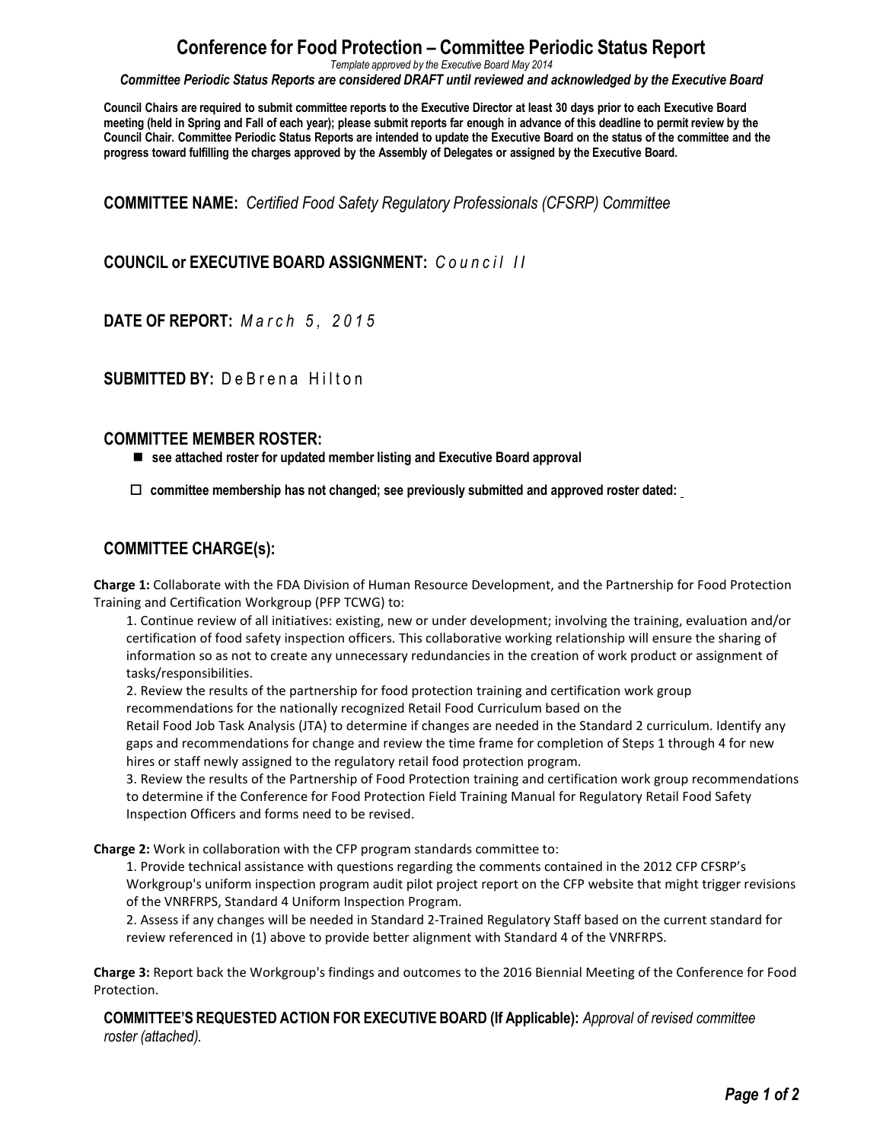# **Conference for Food Protection – Committee Periodic Status Report**

*Template approved by the Executive Board May 2014*

*Committee Periodic Status Reports are considered DRAFT until reviewed and acknowledged by the Executive Board*

**Council Chairs are required to submit committee reports to the Executive Director at least 30 days prior to each Executive Board meeting (held in Spring and Fall of each year); please submit reports far enough in advance of this deadline to permit review by the Council Chair. Committee Periodic Status Reports are intended to update the Executive Board on the status of the committee and the progress toward fulfilling the charges approved by the Assembly of Delegates or assigned by the Executive Board.**

**COMMITTEE NAME:** *Certified Food Safety Regulatory Professionals (CFSRP) Committee*

### **COUNCIL or EXECUTIVE BOARD ASSIGNMENT:**  $C \cdot u \cdot n \cdot c \cdot i \cdot l \cdot l$

**DATE OF REPORT:** *M a r c h 5 , 2 0 1 5*

## **SUBMITTED BY: De Brena Hilton**

#### **COMMITTEE MEMBER ROSTER:**

**see attached roster for updated member listing and Executive Board approval**

□ committee membership has not changed; see previously submitted and approved roster dated:

#### **COMMITTEE CHARGE(s):**

**Charge 1:** Collaborate with the FDA Division of Human Resource Development, and the Partnership for Food Protection Training and Certification Workgroup (PFP TCWG) to:

1. Continue review of all initiatives: existing, new or under development; involving the training, evaluation and/or certification of food safety inspection officers. This collaborative working relationship will ensure the sharing of information so as not to create any unnecessary redundancies in the creation of work product or assignment of tasks/responsibilities.

2. Review the results of the partnership for food protection training and certification work group recommendations for the nationally recognized Retail Food Curriculum based on the

Retail Food Job Task Analysis (JTA) to determine if changes are needed in the Standard 2 curriculum. Identify any gaps and recommendations for change and review the time frame for completion of Steps 1 through 4 for new hires or staff newly assigned to the regulatory retail food protection program.

3. Review the results of the Partnership of Food Protection training and certification work group recommendations to determine if the Conference for Food Protection Field Training Manual for Regulatory Retail Food Safety Inspection Officers and forms need to be revised.

**Charge 2:** Work in collaboration with the CFP program standards committee to:

1. Provide technical assistance with questions regarding the comments contained in the 2012 CFP CFSRP's Workgroup's uniform inspection program audit pilot project report on the CFP website that might trigger revisions of the VNRFRPS, Standard 4 Uniform Inspection Program.

2. Assess if any changes will be needed in Standard 2-Trained Regulatory Staff based on the current standard for review referenced in (1) above to provide better alignment with Standard 4 of the VNRFRPS.

**Charge 3:** Report back the Workgroup's findings and outcomes to the 2016 Biennial Meeting of the Conference for Food Protection.

**COMMITTEE'S REQUESTED ACTION FOR EXECUTIVE BOARD (If Applicable):** *Approval of revised committee roster (attached).*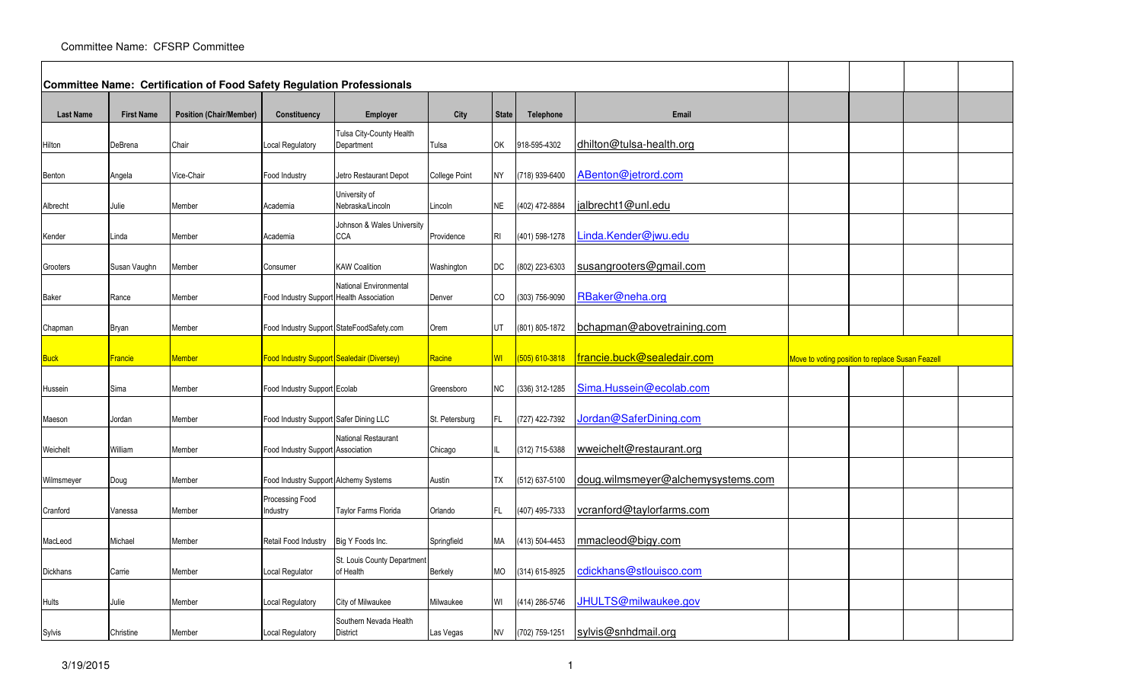|                  |                   | Committee Name: Certification of Food Safety Regulation Professionals |                                            |                                           |                      |              |                  |                                    |                                                  |  |  |
|------------------|-------------------|-----------------------------------------------------------------------|--------------------------------------------|-------------------------------------------|----------------------|--------------|------------------|------------------------------------|--------------------------------------------------|--|--|
| <b>Last Name</b> | <b>First Name</b> | <b>Position (Chair/Member)</b>                                        | Constituency                               | <b>Employer</b>                           | City                 | <b>State</b> | <b>Telephone</b> | Email                              |                                                  |  |  |
| Hilton           | DeBrena           | Chair                                                                 | Local Regulatory                           | Tulsa City-County Health<br>Department    | Tulsa                | <b>OK</b>    | 918-595-4302     | dhilton@tulsa-health.org           |                                                  |  |  |
| Benton           | Angela            | Vice-Chair                                                            | Food Industry                              | Jetro Restaurant Depot                    | <b>College Point</b> | <b>NY</b>    | (718) 939-6400   | ABenton@jetrord.com                |                                                  |  |  |
| Albrecht         | Julie             | Member                                                                | Academia                                   | University of<br>Nebraska/Lincoln         | Lincoln              | <b>NE</b>    | (402) 472-8884   | jalbrecht1@unl.edu                 |                                                  |  |  |
| Kender           | ∟inda             | Member                                                                | Academia                                   | Johnson & Wales University<br><b>CCA</b>  | Providence           | RI           | (401) 598-1278   | Linda.Kender@jwu.edu               |                                                  |  |  |
| Grooters         | Susan Vaughn      | Member                                                                | Consumer                                   | <b>KAW Coalition</b>                      | Washington           | DC           | (802) 223-6303   | susangrooters@gmail.com            |                                                  |  |  |
| Baker            | Rance             | Member                                                                | Food Industry Support Health Association   | <b>National Environmental</b>             | Denver               | CO           | (303) 756-9090   | RBaker@neha.org                    |                                                  |  |  |
| Chapman          | Bryan             | Member                                                                |                                            | Food Industry Support StateFoodSafety.com | Orem                 | UT           | (801) 805-1872   | bchapman@abovetraining.com         |                                                  |  |  |
| <b>Buck</b>      | <b>Francie</b>    | <b>Member</b>                                                         | Food Industry Support Sealedair (Diversey) |                                           | Racine               | <b>WI</b>    | (505) 610-3818   | francie.buck@sealedair.com         | Move to voting position to replace Susan Feazell |  |  |
| Hussein          | Sima              | Member                                                                | Food Industry Support Ecolab               |                                           | Greensboro           | NC           | (336) 312-1285   | Sima.Hussein@ecolab.com            |                                                  |  |  |
| Maeson           | Jordan            | Member                                                                | Food Industry Support Safer Dining LLC     |                                           | St. Petersburg       | FL.          | (727) 422-7392   | Jordan@SaferDining.com             |                                                  |  |  |
| Weichelt         | William           | Member                                                                | Food Industry Support Association          | National Restaurant                       | Chicago              |              | (312) 715-5388   | wweichelt@restaurant.org           |                                                  |  |  |
| Wilmsmeyer       | Doug              | Member                                                                | Food Industry Support Alchemy Systems      |                                           | Austin               | TX           | (512) 637-5100   | doug.wilmsmeyer@alchemysystems.com |                                                  |  |  |
| Cranford         | Vanessa           | Member                                                                | Processing Food<br>Industry                | Taylor Farms Florida                      | Orlando              | FL.          | (407) 495-7333   | vcranford@taylorfarms.com          |                                                  |  |  |
| MacLeod          | Michael           | Member                                                                | Retail Food Industry                       | Big Y Foods Inc.                          | Springfield          | MA           | (413) 504-4453   | mmacleod@bigy.com                  |                                                  |  |  |
| Dickhans         | Carrie            | Member                                                                | Local Regulator                            | St. Louis County Department<br>of Health  | Berkely              | MO           | (314) 615-8925   | cdickhans@stlouisco.com            |                                                  |  |  |
| <b>Hults</b>     | Julie             | Member                                                                | Local Regulatory                           | City of Milwaukee                         | Milwaukee            | WI           | (414) 286-5746   | JHULTS@milwaukee.gov               |                                                  |  |  |
| Sylvis           | Christine         | Member                                                                | Local Regulatory                           | Southern Nevada Health<br><b>District</b> | Las Vegas            | NV           | (702) 759-1251   | sylvis@snhdmail.org                |                                                  |  |  |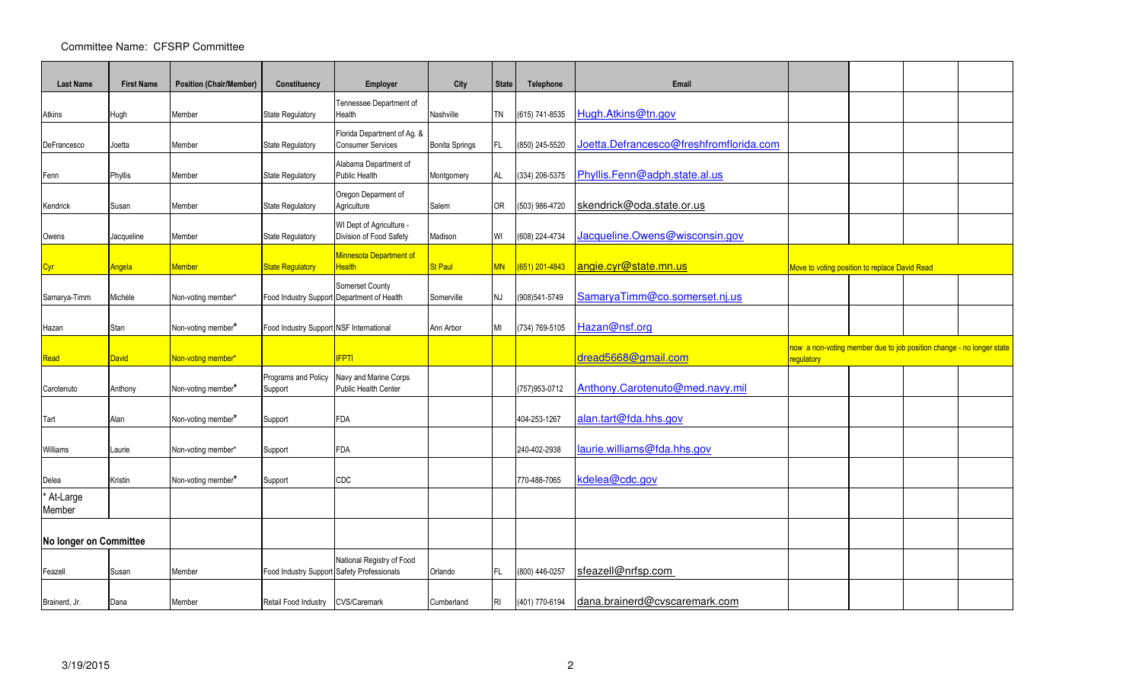| <b>Last Name</b>       | <b>First Name</b> | <b>Position (Chair/Member)</b> | Constituency                               | Employer                                                      | City                  | <b>State</b> | Telephone        | Email                                   |                                                                                           |  |  |
|------------------------|-------------------|--------------------------------|--------------------------------------------|---------------------------------------------------------------|-----------------------|--------------|------------------|-----------------------------------------|-------------------------------------------------------------------------------------------|--|--|
|                        |                   |                                |                                            | Tennessee Department of                                       |                       |              |                  |                                         |                                                                                           |  |  |
| Atkins                 | Hugh              | Member                         | State Regulatory                           | Health                                                        | Nashville             | <b>TN</b>    | (615) 741-8535   | Hugh.Atkins@tn.gov                      |                                                                                           |  |  |
| DeFrancesco            | Joetta            | Member                         | State Regulatory                           | Florida Department of Ag. &<br><b>Consumer Services</b>       | <b>Bonita Springs</b> | FL.          | (850) 245-5520   | Joetta.Defrancesco@freshfromflorida.com |                                                                                           |  |  |
| Fenn                   | Phyllis           | Member                         | State Regulatory                           | Alabama Department of<br><b>Public Health</b>                 | Montgomery            | AL           | (334) 206-5375   | Phyllis.Fenn@adph.state.al.us           |                                                                                           |  |  |
| Kendrick               | Susan             | Member                         | State Regulatory                           | Oregon Deparment of<br>Agriculture                            | Salem                 | 0R           | (503) 986-4720   | skendrick@oda.state.or.us               |                                                                                           |  |  |
| Owens                  | Jacqueline        | Member                         | State Regulatory                           | WI Dept of Agriculture -<br>Division of Food Safety           | Madison               | WI           | (608) 224-4734   | Jacqueline.Owens@wisconsin.gov          |                                                                                           |  |  |
| <u>Cyr</u>             | Angela            | <b>Aember</b>                  | <b>State Regulatory</b>                    | <b>Minnesota Department of</b><br><b>Health</b>               | <b>St Paul</b>        | <b>MN</b>    | $(651)$ 201-4843 | angie.cyr@state.mn.us                   | Move to voting position to replace David Read                                             |  |  |
| Samarya-Timm           | Michéle           | Non-voting member*             |                                            | Somerset County<br>Food Industry Support Department of Health | Somerville            | NJ           | (908)541-5749    | SamaryaTimm@co.somerset.nj.us           |                                                                                           |  |  |
| Hazan                  | Stan              | Non-voting member*             | Food Industry Support NSF International    |                                                               | Ann Arbor             | MI           | (734) 769-5105   | Hazan@nsf.org                           |                                                                                           |  |  |
| Read                   | <b>David</b>      | Non-voting member*             |                                            | <b>IFPTI</b>                                                  |                       |              |                  | dread5668@gmail.com                     | now a non-voting member due to job position change - no longer state<br><b>regulatory</b> |  |  |
| Carotenuto             | Anthony           | Non-voting member*             | Programs and Policy<br>Support             | Navy and Marine Corps<br>Public Health Center                 |                       |              | (757) 953-0712   | Anthony.Carotenuto@med.navy.mil         |                                                                                           |  |  |
| Tart                   | Alan              | Non-voting member*             | Support                                    | <b>FDA</b>                                                    |                       |              | 404-253-1267     | alan.tart@fda.hhs.gov                   |                                                                                           |  |  |
| Williams               | Laurie            | Non-voting member*             | Support                                    | <b>FDA</b>                                                    |                       |              | 240-402-2938     | laurie.williams@fda.hhs.gov             |                                                                                           |  |  |
| Delea                  | Kristin           | Non-voting member*             | Support                                    | CDC                                                           |                       |              | 770-488-7065     | kdelea@cdc.gov                          |                                                                                           |  |  |
| At-Large<br>Member     |                   |                                |                                            |                                                               |                       |              |                  |                                         |                                                                                           |  |  |
| No longer on Committee |                   |                                |                                            |                                                               |                       |              |                  |                                         |                                                                                           |  |  |
| Feazell                | Susan             | Member                         | Food Industry Support Safety Professionals | National Registry of Food                                     | Orlando               | FL.          | (800) 446-0257   | sfeazell@nrfsp.com                      |                                                                                           |  |  |
| Brainerd, Jr.          | Dana              | Member                         | Retail Food Industry CVS/Caremark          |                                                               | Cumberland            | RI           | (401) 770-6194   | dana.brainerd@cvscaremark.com           |                                                                                           |  |  |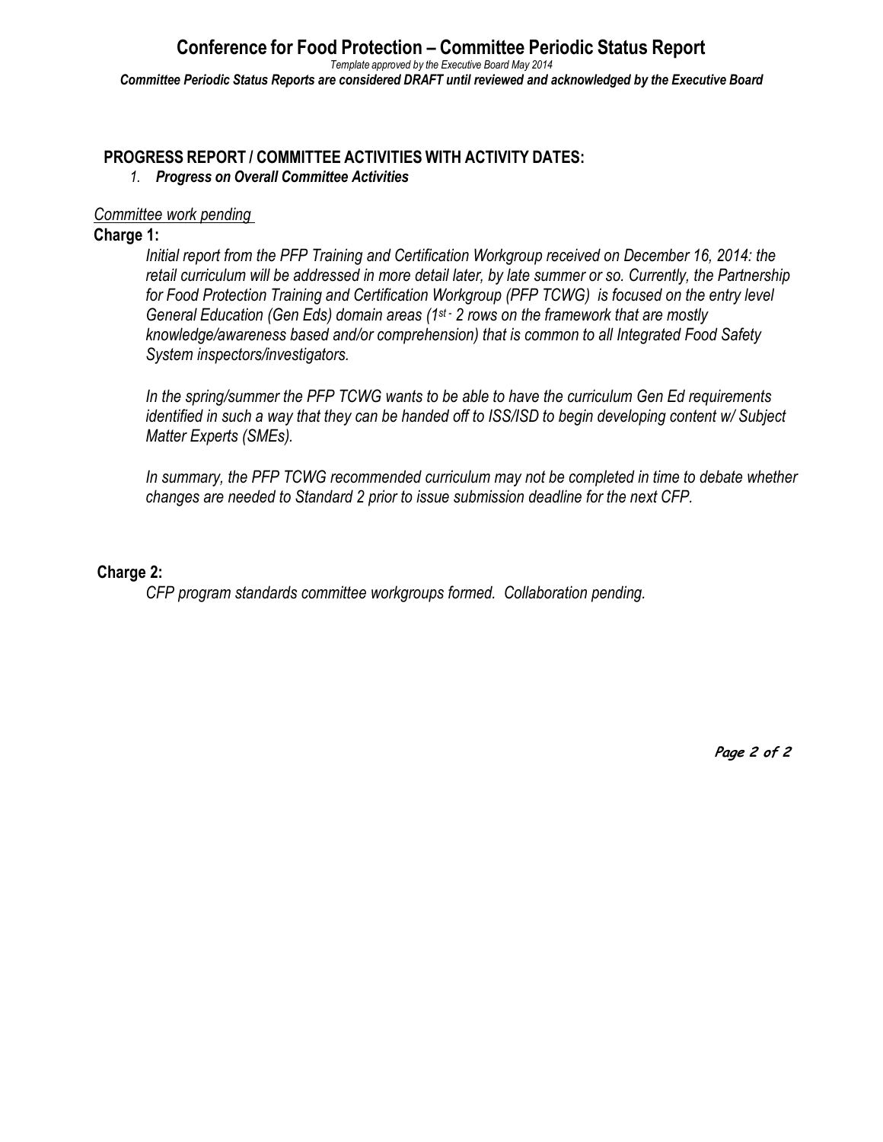# **PROGRESS REPORT / COMMITTEE ACTIVITIES WITH ACTIVITY DATES:**

*1. Progress on Overall Committee Activities*

### *Committee work pending*

### **Charge 1:**

*Initial report from the PFP Training and Certification Workgroup received on December 16, 2014: the retail curriculum will be addressed in more detail later, by late summer or so. Currently, the Partnership for Food Protection Training and Certification Workgroup (PFP TCWG) is focused on the entry level General Education (Gen Eds) domain areas (1st - 2 rows on the framework that are mostly knowledge/awareness based and/or comprehension) that is common to all Integrated Food Safety System inspectors/investigators.* 

*In the spring/summer the PFP TCWG wants to be able to have the curriculum Gen Ed requirements identified in such a way that they can be handed off to ISS/ISD to begin developing content w/ Subject Matter Experts (SMEs).* 

*In summary, the PFP TCWG recommended curriculum may not be completed in time to debate whether changes are needed to Standard 2 prior to issue submission deadline for the next CFP.* 

### **Charge 2:**

*CFP program standards committee workgroups formed. Collaboration pending.*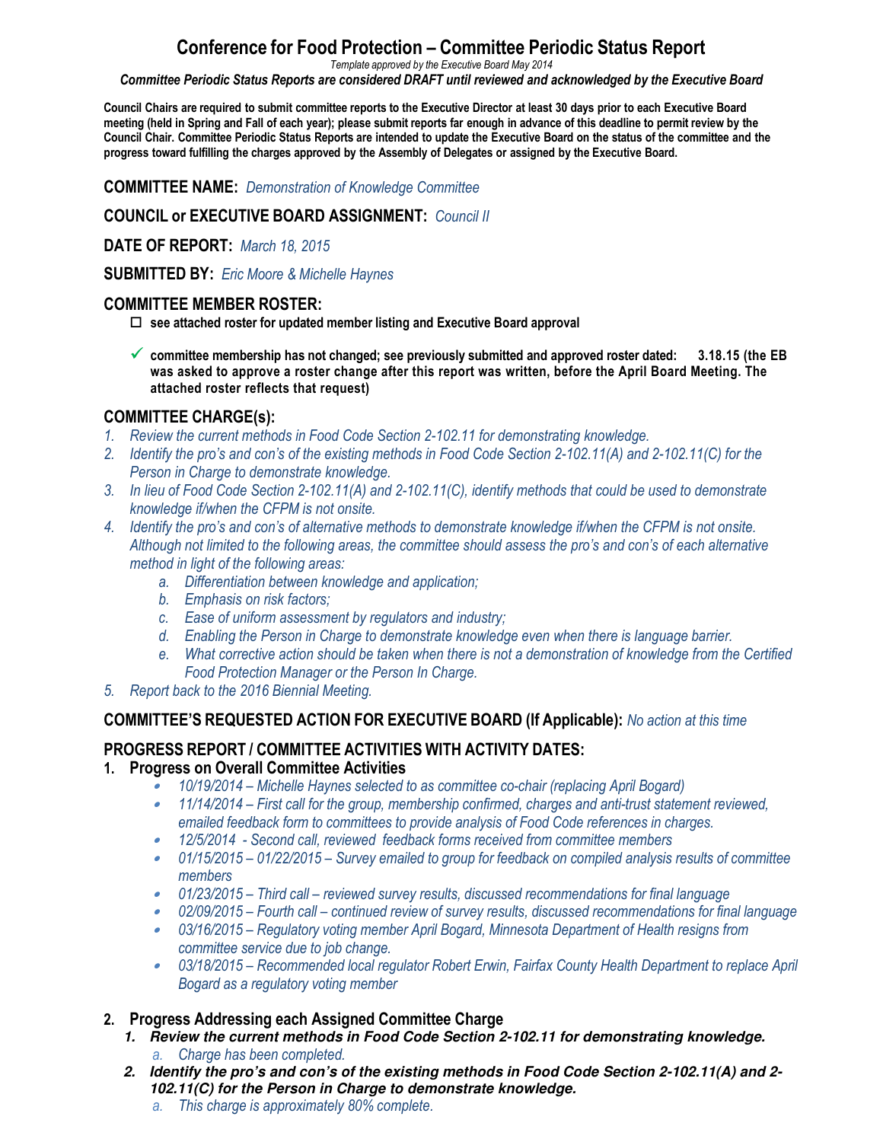# **Conference for Food Protection – Committee Periodic Status Report**

*Template approved by the Executive Board May 2014*

*Committee Periodic Status Reports are considered DRAFT until reviewed and acknowledged by the Executive Board*

**Council Chairs are required to submit committee reports to the Executive Director at least 30 days prior to each Executive Board meeting (held in Spring and Fall of each year); please submit reports far enough in advance of this deadline to permit review by the Council Chair. Committee Periodic Status Reports are intended to update the Executive Board on the status of the committee and the progress toward fulfilling the charges approved by the Assembly of Delegates or assigned by the Executive Board.**

**COMMITTEE NAME:** *Demonstration of Knowledge Committee*

#### **COUNCIL or EXECUTIVE BOARD ASSIGNMENT:** *Council II*

**DATE OF REPORT:** *March 18, 2015*

**SUBMITTED BY:** *Eric Moore & Michelle Haynes*

#### **COMMITTEE MEMBER ROSTER:**

**see attached roster for updated member listing and Executive Board approval**

- **committee membership has not changed; see previously submitted and approved roster dated: 3.18.15 (the EB was asked to approve a roster change after this report was written, before the April Board Meeting. The attached roster reflects that request)** 

## **COMMITTEE CHARGE(s):**

- *1. Review the current methods in Food Code Section 2-102.11 for demonstrating knowledge.*
- *2. Identify the pro's and con's of the existing methods in Food Code Section 2-102.11(A) and 2-102.11(C) for the Person in Charge to demonstrate knowledge.*
- *3. In lieu of Food Code Section 2-102.11(A) and 2-102.11(C), identify methods that could be used to demonstrate knowledge if/when the CFPM is not onsite.*
- *4. Identify the pro's and con's of alternative methods to demonstrate knowledge if/when the CFPM is not onsite. Although not limited to the following areas, the committee should assess the pro's and con's of each alternative method in light of the following areas:* 
	- *a. Differentiation between knowledge and application;*
	- *b. Emphasis on risk factors;*
	- *c. Ease of uniform assessment by regulators and industry;*
	- *d. Enabling the Person in Charge to demonstrate knowledge even when there is language barrier.*
	- *e. What corrective action should be taken when there is not a demonstration of knowledge from the Certified Food Protection Manager or the Person In Charge.*
- *5. Report back to the 2016 Biennial Meeting.*

#### **COMMITTEE'S REQUESTED ACTION FOR EXECUTIVE BOARD (If Applicable):** *No action at this time*

## **PROGRESS REPORT / COMMITTEE ACTIVITIES WITH ACTIVITY DATES:**

## **1. Progress on Overall Committee Activities**

- •*10/19/2014 – Michelle Haynes selected to as committee co-chair (replacing April Bogard)*
- • *11/14/2014 – First call for the group, membership confirmed, charges and anti-trust statement reviewed, emailed feedback form to committees to provide analysis of Food Code references in charges.*
- •*12/5/2014 - Second call, reviewed feedback forms received from committee members*
- *01/15/2015 01/22/2015 Survey emailed to group for feedback on compiled analysis results of committee members*
- *01/23/2015 Third call reviewed survey results, discussed recommendations for final language*
- *02/09/2015 Fourth call continued review of survey results, discussed recommendations for final language*
- *03/16/2015 Regulatory voting member April Bogard, Minnesota Department of Health resigns from committee service due to job change.*
- *03/18/2015 Recommended local regulator Robert Erwin, Fairfax County Health Department to replace April Bogard as a regulatory voting member*

#### **2. Progress Addressing each Assigned Committee Charge**

- **1. Review the current methods in Food Code Section 2-102.11 for demonstrating knowledge.** 
	- *a. Charge has been completed.*
- **2. Identify the pro's and con's of the existing methods in Food Code Section 2-102.11(A) and 2- 102.11(C) for the Person in Charge to demonstrate knowledge.** 
	- *a. This charge is approximately 80% complete.*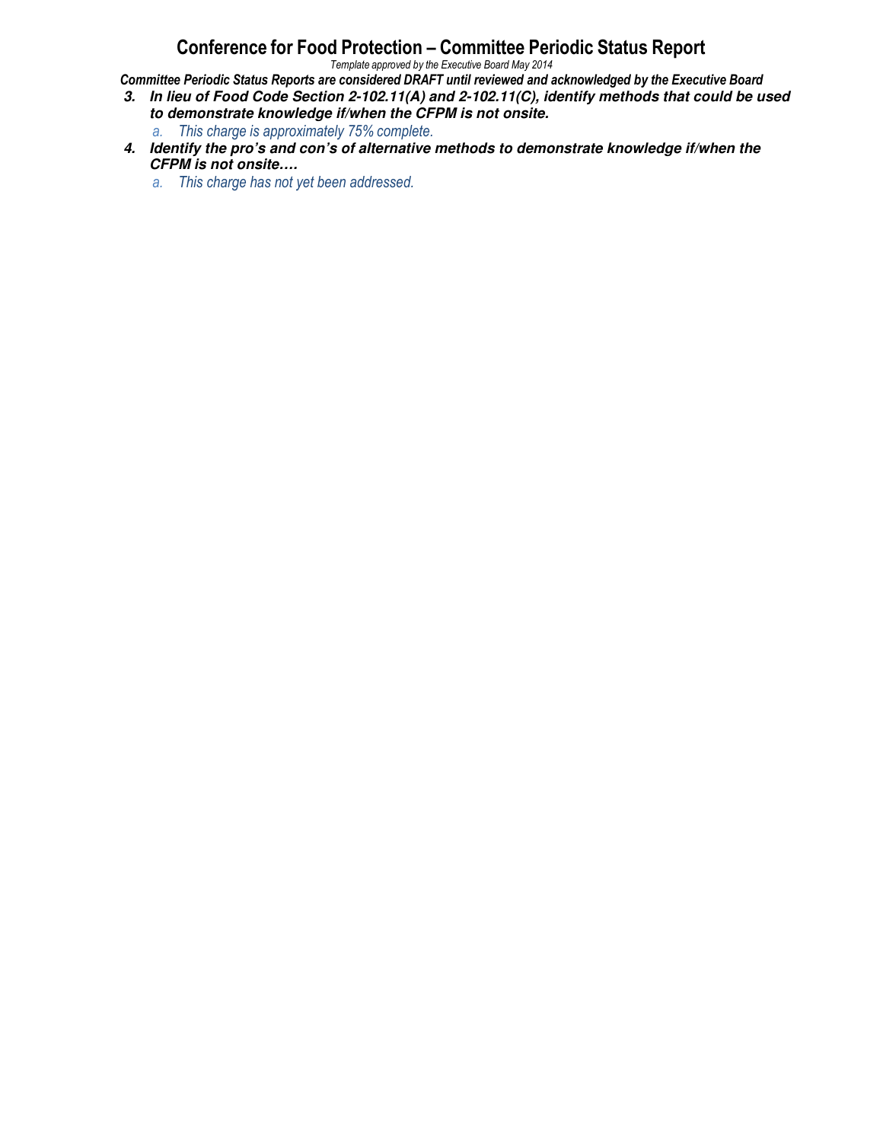# **Conference for Food Protection – Committee Periodic Status Report**

*Template approved by the Executive Board May 2014*

*Committee Periodic Status Reports are considered DRAFT until reviewed and acknowledged by the Executive Board*

- **3. In lieu of Food Code Section 2-102.11(A) and 2-102.11(C), identify methods that could be used to demonstrate knowledge if/when the CFPM is not onsite.** 
	- *a. This charge is approximately 75% complete.*
- **4. Identify the pro's and con's of alternative methods to demonstrate knowledge if/when the CFPM is not onsite….** 
	- *a. This charge has not yet been addressed.*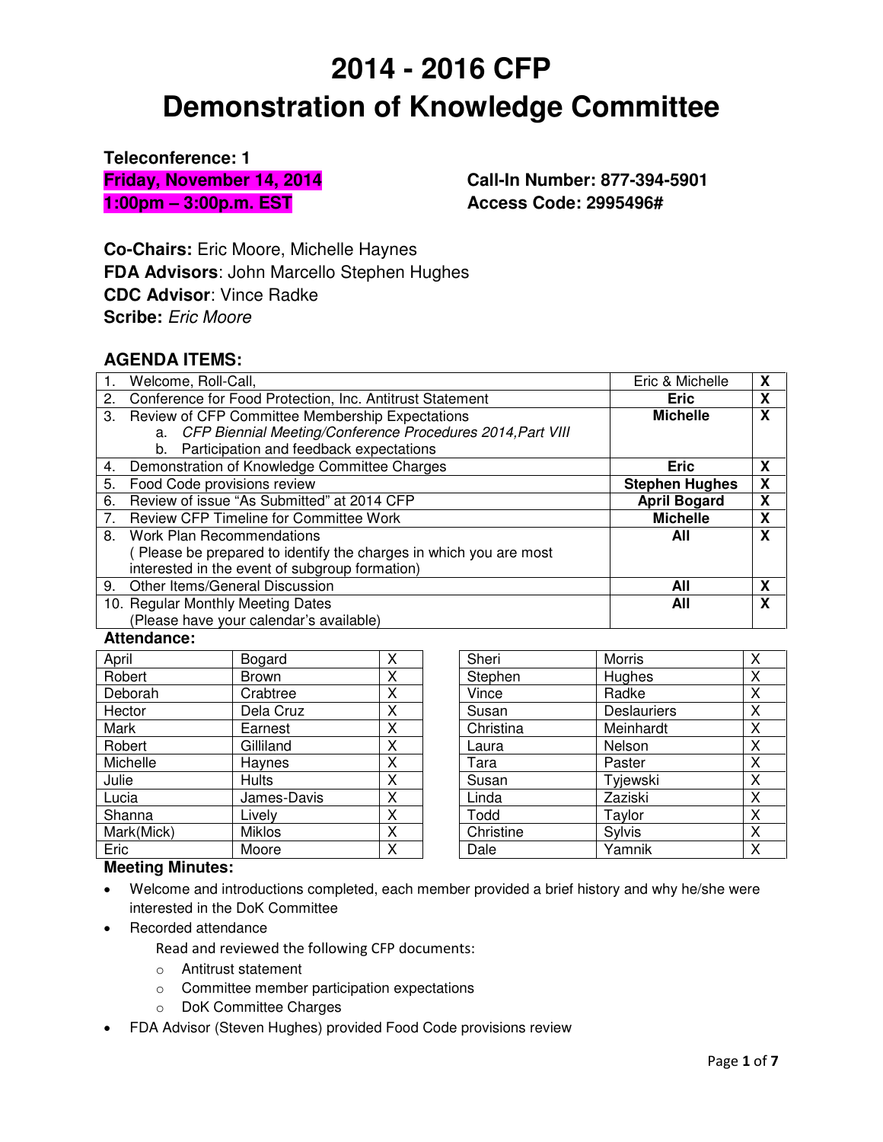**Teleconference: 1 Friday, November 14, 2014 1:00pm – 3:00p.m. EST** 

**Call-In Number: 877-394-5901 Access Code: 2995496#**

**Co-Chairs:** Eric Moore, Michelle Haynes **FDA Advisors**: John Marcello Stephen Hughes **CDC Advisor**: Vince Radke **Scribe:** Eric Moore

# **AGENDA ITEMS:**

|                | Welcome, Roll-Call,                                              | Eric & Michelle       | X |
|----------------|------------------------------------------------------------------|-----------------------|---|
| 2.             | Conference for Food Protection, Inc. Antitrust Statement         | Eric                  | X |
|                | 3. Review of CFP Committee Membership Expectations               | <b>Michelle</b>       | X |
|                | a. CFP Biennial Meeting/Conference Procedures 2014, Part VIII    |                       |   |
|                | b. Participation and feedback expectations                       |                       |   |
| 4.             | Demonstration of Knowledge Committee Charges                     | <b>Eric</b>           | X |
| 5.             | Food Code provisions review                                      | <b>Stephen Hughes</b> | X |
| 6.             | Review of issue "As Submitted" at 2014 CFP                       | <b>April Bogard</b>   | X |
| 7 <sub>1</sub> | <b>Review CFP Timeline for Committee Work</b>                    | <b>Michelle</b>       | χ |
| 8.             | Work Plan Recommendations                                        | All                   | X |
|                | Please be prepared to identify the charges in which you are most |                       |   |
|                | interested in the event of subgroup formation)                   |                       |   |
| 9 <sub>1</sub> | Other Items/General Discussion                                   | All                   | X |
|                | 10. Regular Monthly Meeting Dates                                | All                   | X |
|                | (Please have your calendar's available)                          |                       |   |

#### **Attendance:**

| April      | Bogard        | x |
|------------|---------------|---|
| Robert     | <b>Brown</b>  | х |
| Deborah    | Crabtree      | x |
| Hector     | Dela Cruz     | X |
| Mark       | Earnest       | X |
| Robert     | Gilliland     | X |
| Michelle   | Haynes        | X |
| Julie      | <b>Hults</b>  | Χ |
| Lucia      | James-Davis   | Χ |
| Shanna     | Lively        | X |
| Mark(Mick) | <b>Miklos</b> | X |
| Eric       | Moore         | χ |

| Sheri     | <b>Morris</b>      | X |
|-----------|--------------------|---|
| Stephen   | Hughes             | Χ |
| Vince     | Radke              | Χ |
| Susan     | <b>Deslauriers</b> | Χ |
| Christina | Meinhardt          | X |
| Laura     | Nelson             | Χ |
| Tara      | Paster             | Χ |
| Susan     | Tyjewski           | Χ |
| Linda     | Zaziski            | Χ |
| Todd      | Taylor             | Χ |
| Christine | Sylvis             | Χ |
| Dale      | Yamnik             | Χ |

#### **Meeting Minutes:**

- Welcome and introductions completed, each member provided a brief history and why he/she were interested in the DoK Committee
- Recorded attendance
	- Read and reviewed the following CFP documents:
	- o Antitrust statement
	- o Committee member participation expectations
	- o DoK Committee Charges
- FDA Advisor (Steven Hughes) provided Food Code provisions review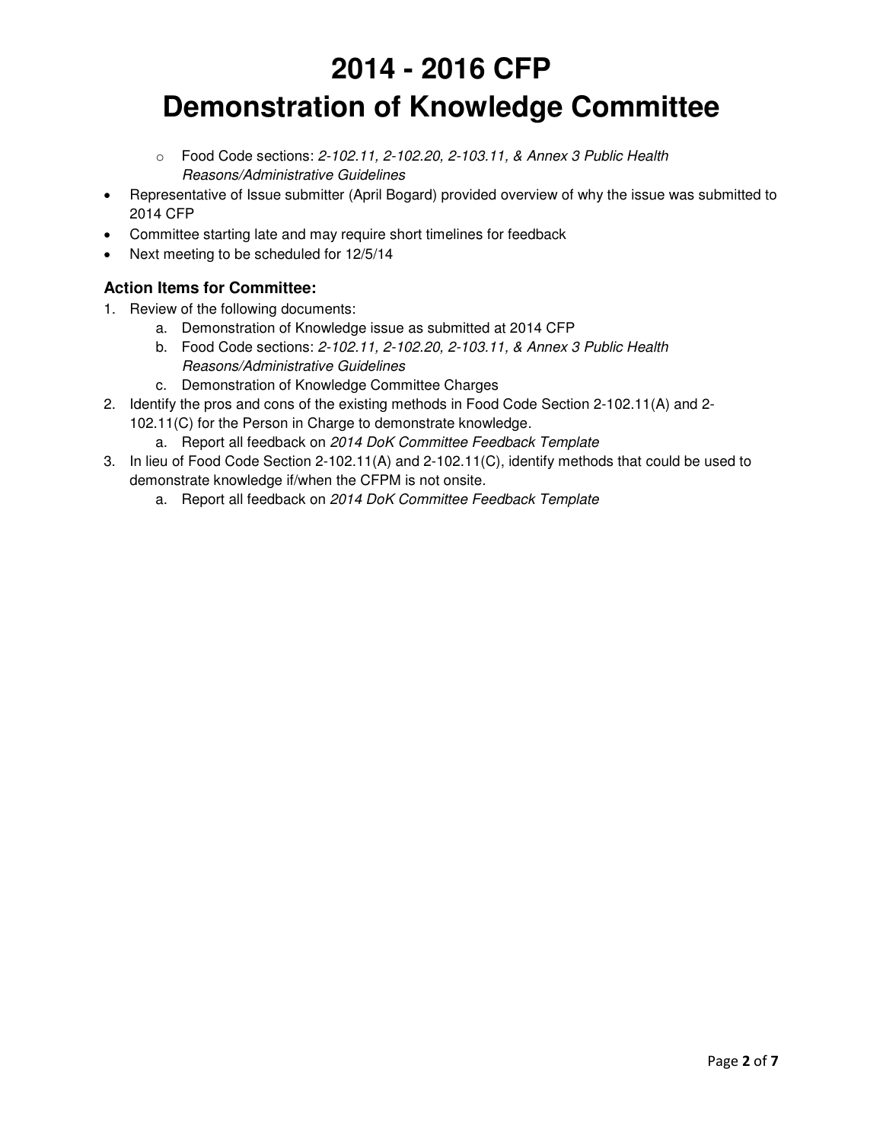- $\circ$  Food Code sections: 2-102.11, 2-102.20, 2-103.11, & Annex 3 Public Health Reasons/Administrative Guidelines
- Representative of Issue submitter (April Bogard) provided overview of why the issue was submitted to 2014 CFP
- Committee starting late and may require short timelines for feedback
- Next meeting to be scheduled for 12/5/14

#### **Action Items for Committee:**

- 1. Review of the following documents:
	- a. Demonstration of Knowledge issue as submitted at 2014 CFP
	- b. Food Code sections: 2-102.11, 2-102.20, 2-103.11, & Annex 3 Public Health Reasons/Administrative Guidelines
	- c. Demonstration of Knowledge Committee Charges
- 2. Identify the pros and cons of the existing methods in Food Code Section 2-102.11(A) and 2-
	- 102.11(C) for the Person in Charge to demonstrate knowledge.
	- a. Report all feedback on 2014 DoK Committee Feedback Template
- 3. In lieu of Food Code Section 2-102.11(A) and 2-102.11(C), identify methods that could be used to demonstrate knowledge if/when the CFPM is not onsite.
	- a. Report all feedback on 2014 DoK Committee Feedback Template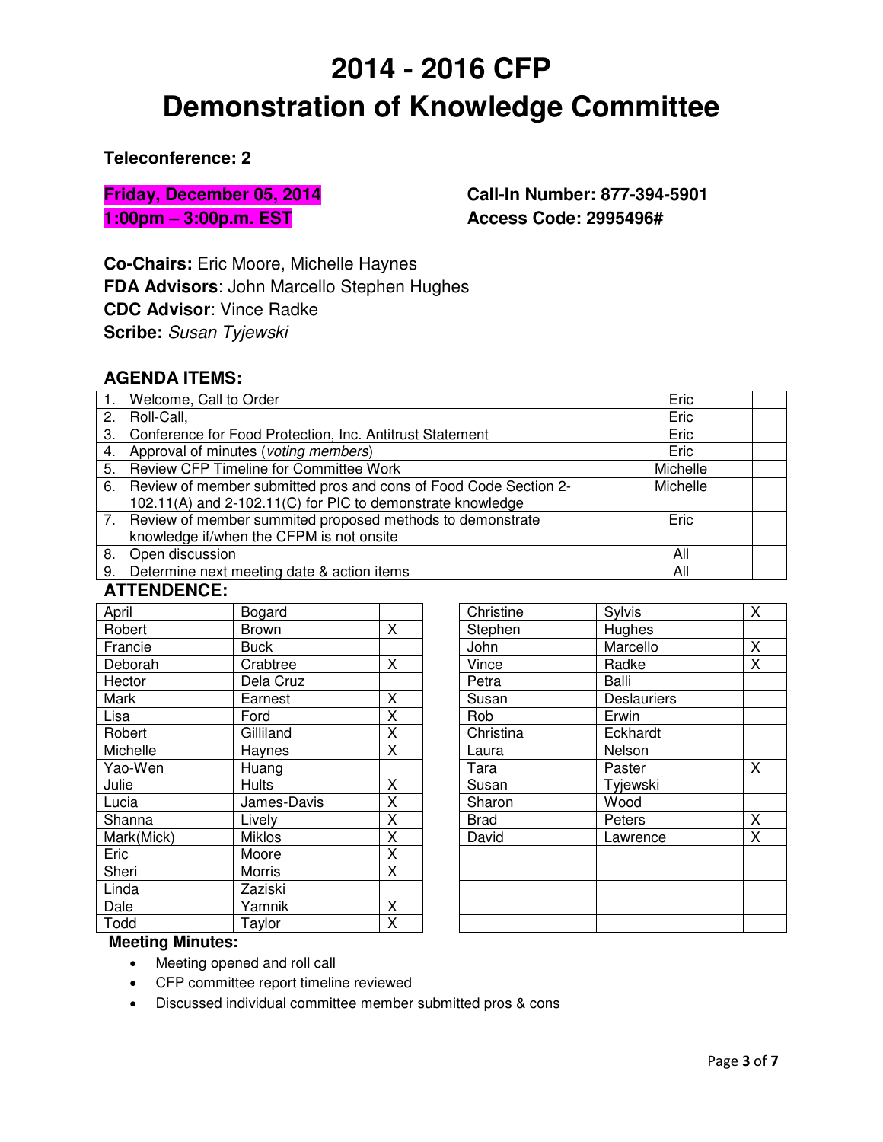**Teleconference: 2** 

**Friday, December 05, 2014 1:00pm – 3:00p.m. EST**

**Call-In Number: 877-394-5901 Access Code: 2995496#**

**Co-Chairs:** Eric Moore, Michelle Haynes **FDA Advisors**: John Marcello Stephen Hughes **CDC Advisor**: Vince Radke **Scribe:** Susan Tyjewski

#### **AGENDA ITEMS:**

|    | 1. Welcome, Call to Order                                           | Eric     |  |
|----|---------------------------------------------------------------------|----------|--|
| 2. | Roll-Call,                                                          | Eric     |  |
|    | 3. Conference for Food Protection, Inc. Antitrust Statement         | Eric     |  |
|    | 4. Approval of minutes (voting members)                             | Eric     |  |
|    | 5. Review CFP Timeline for Committee Work                           | Michelle |  |
|    | 6. Review of member submitted pros and cons of Food Code Section 2- | Michelle |  |
|    | 102.11(A) and 2-102.11(C) for PIC to demonstrate knowledge          |          |  |
|    | 7. Review of member summited proposed methods to demonstrate        | Eric     |  |
|    | knowledge if/when the CFPM is not onsite                            |          |  |
| 8. | Open discussion                                                     | All      |  |
| 9. | Determine next meeting date & action items                          | Αll      |  |

#### **ATTENDENCE:**

| April      | Bogard        |                         |
|------------|---------------|-------------------------|
| Robert     | <b>Brown</b>  | Χ                       |
| Francie    | <b>Buck</b>   |                         |
| Deborah    | Crabtree      | X                       |
| Hector     | Dela Cruz     |                         |
| Mark       | Earnest       | Χ                       |
| Lisa       | Ford          | X                       |
| Robert     | Gilliland     | X                       |
| Michelle   | Haynes        | $\overline{\mathsf{x}}$ |
| Yao-Wen    | Huang         |                         |
| Julie      | <b>Hults</b>  | Χ                       |
| Lucia      | James-Davis   | Χ                       |
| Shanna     | Lively        | Χ                       |
| Mark(Mick) | <b>Miklos</b> | Χ                       |
| Eric       | Moore         | Χ                       |
| Sheri      | <b>Morris</b> | Χ                       |
| Linda      | Zaziski       |                         |
| Dale       | Yamnik        | Χ                       |
| Todd       | Taylor        | X                       |

| Christine   | Sylvis      | Χ |
|-------------|-------------|---|
| Stephen     | Hughes      |   |
| John        | Marcello    | Χ |
| Vince       | Radke       | X |
| Petra       | Balli       |   |
| Susan       | Deslauriers |   |
| Rob         | Erwin       |   |
| Christina   | Eckhardt    |   |
| Laura       | Nelson      |   |
| Tara        | Paster      | x |
| Susan       | Tyjewski    |   |
| Sharon      | Wood        |   |
| <b>Brad</b> | Peters      | Χ |
| David       | Lawrence    | x |
|             |             |   |
|             |             |   |
|             |             |   |
|             |             |   |
|             |             |   |

#### **Meeting Minutes:**

- Meeting opened and roll call
- CFP committee report timeline reviewed
- Discussed individual committee member submitted pros & cons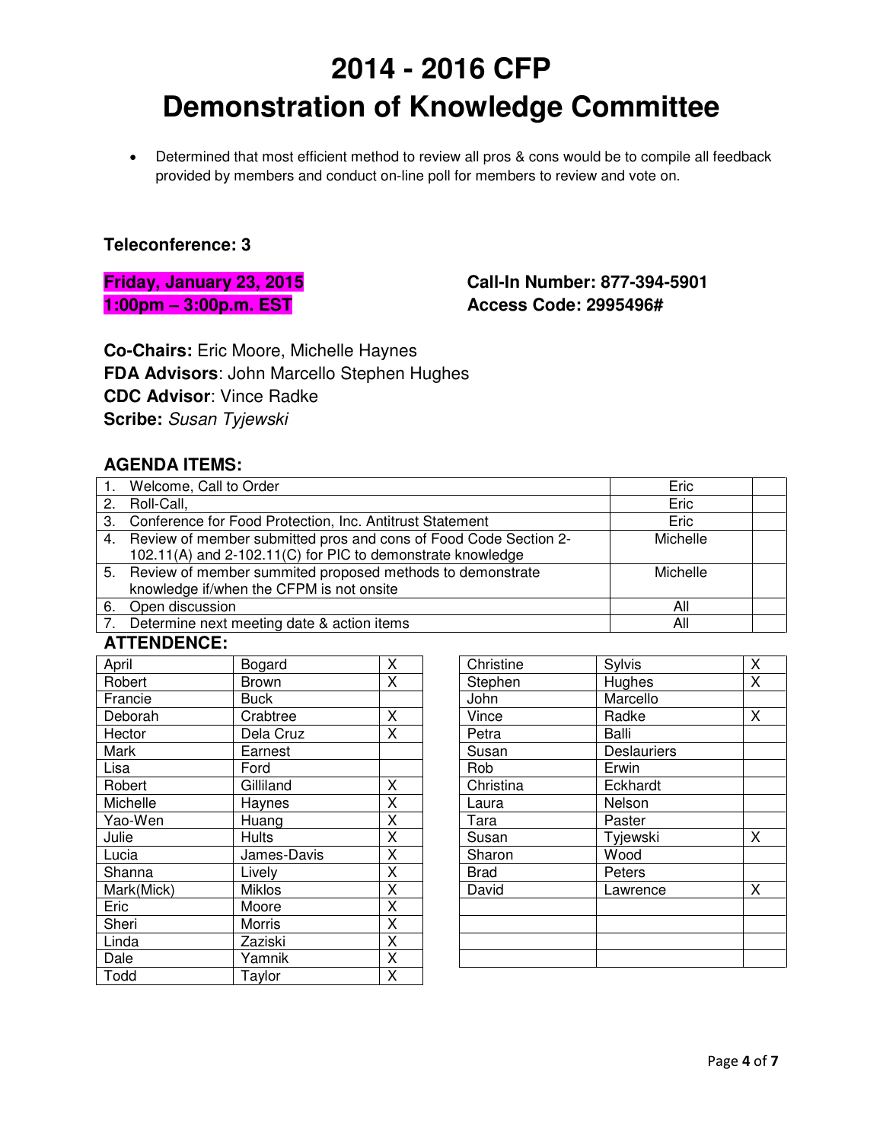• Determined that most efficient method to review all pros & cons would be to compile all feedback provided by members and conduct on-line poll for members to review and vote on.

#### **Teleconference: 3**

**Friday, January 23, 2015 1:00pm – 3:00p.m. EST**

## **Call-In Number: 877-394-5901 Access Code: 2995496#**

**Co-Chairs:** Eric Moore, Michelle Haynes **FDA Advisors**: John Marcello Stephen Hughes **CDC Advisor**: Vince Radke **Scribe:** Susan Tyjewski

## **AGENDA ITEMS:**

| Welcome, Call to Order                                              | Eric     |  |
|---------------------------------------------------------------------|----------|--|
| 2. Roll-Call,                                                       | Eric     |  |
| 3. Conference for Food Protection, Inc. Antitrust Statement         | Eric     |  |
| 4. Review of member submitted pros and cons of Food Code Section 2- | Michelle |  |
| 102.11(A) and 2-102.11(C) for PIC to demonstrate knowledge          |          |  |
| 5. Review of member summited proposed methods to demonstrate        | Michelle |  |
| knowledge if/when the CFPM is not onsite                            |          |  |
| 6. Open discussion                                                  | All      |  |
| Determine next meeting date & action items                          | All      |  |

#### **ATTENDENCE:**

| April      | Bogard        | Χ |
|------------|---------------|---|
| Robert     | <b>Brown</b>  | X |
| Francie    | <b>Buck</b>   |   |
| Deborah    | Crabtree      | Χ |
| Hector     | Dela Cruz     | X |
| Mark       | Earnest       |   |
| Lisa       | Ford          |   |
| Robert     | Gilliland     | Χ |
| Michelle   | Haynes        | Χ |
| Yao-Wen    | Huang         | Χ |
| Julie      | <b>Hults</b>  | Χ |
| Lucia      | James-Davis   | Χ |
| Shanna     | Lively        | X |
| Mark(Mick) | <b>Miklos</b> | X |
| Eric       | Moore         | Χ |
| Sheri      | Morris        | X |
| Linda      | Zaziski       | X |
| Dale       | Yamnik        | X |
| Todd       | Taylor        | Χ |

| Christine   | Sylvis      | X                       |
|-------------|-------------|-------------------------|
| Stephen     | Hughes      | $\overline{\mathsf{x}}$ |
| John        | Marcello    |                         |
| Vince       | Radke       | X                       |
| Petra       | Balli       |                         |
| Susan       | Deslauriers |                         |
| Rob         | Erwin       |                         |
| Christina   | Eckhardt    |                         |
| Laura       | Nelson      |                         |
| Tara        | Paster      |                         |
| Susan       | Tyjewski    | X                       |
| Sharon      | Wood        |                         |
| <b>Brad</b> | Peters      |                         |
| David       | Lawrence    | X                       |
|             |             |                         |
|             |             |                         |
|             |             |                         |
|             |             |                         |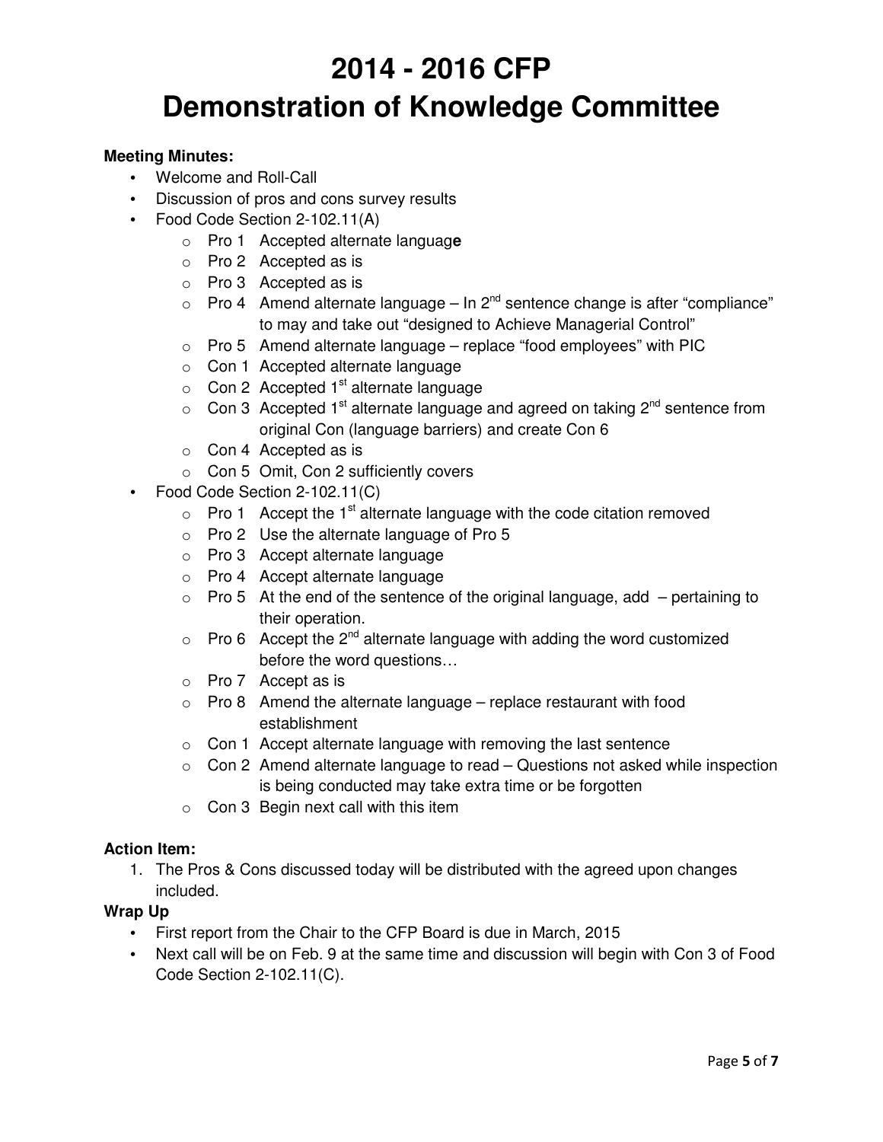#### **Meeting Minutes:**

- Welcome and Roll-Call
- Discussion of pros and cons survey results
- Food Code Section 2-102.11(A)
	- o Pro 1 Accepted alternate languag**e**
	- o Pro 2 Accepted as is
	- o Pro 3 Accepted as is
	- $\circ$  Pro 4 Amend alternate language In 2<sup>nd</sup> sentence change is after "compliance" to may and take out "designed to Achieve Managerial Control"
	- $\circ$  Pro 5 Amend alternate language replace "food employees" with PIC
	- o Con 1 Accepted alternate language
	- $\circ$  Con 2 Accepted 1<sup>st</sup> alternate language
	- $\circ$  Con 3 Accepted 1<sup>st</sup> alternate language and agreed on taking 2<sup>nd</sup> sentence from original Con (language barriers) and create Con 6
	- o Con 4 Accepted as is
	- o Con 5 Omit, Con 2 sufficiently covers
- Food Code Section 2-102.11(C)
	- $\circ$  Pro 1 Accept the 1<sup>st</sup> alternate language with the code citation removed
	- o Pro 2 Use the alternate language of Pro 5
	- o Pro 3 Accept alternate language
	- o Pro 4 Accept alternate language
	- $\circ$  Pro 5 At the end of the sentence of the original language, add pertaining to their operation.
	- $\circ$  Pro 6 Accept the 2<sup>nd</sup> alternate language with adding the word customized before the word questions…
	- o Pro 7 Accept as is
	- $\circ$  Pro 8 Amend the alternate language replace restaurant with food establishment
	- o Con 1 Accept alternate language with removing the last sentence
	- $\circ$  Con 2 Amend alternate language to read Questions not asked while inspection is being conducted may take extra time or be forgotten
	- $\circ$  Con 3 Begin next call with this item

#### **Action Item:**

1. The Pros & Cons discussed today will be distributed with the agreed upon changes included.

#### **Wrap Up**

- First report from the Chair to the CFP Board is due in March, 2015
- Next call will be on Feb. 9 at the same time and discussion will begin with Con 3 of Food Code Section 2-102.11(C).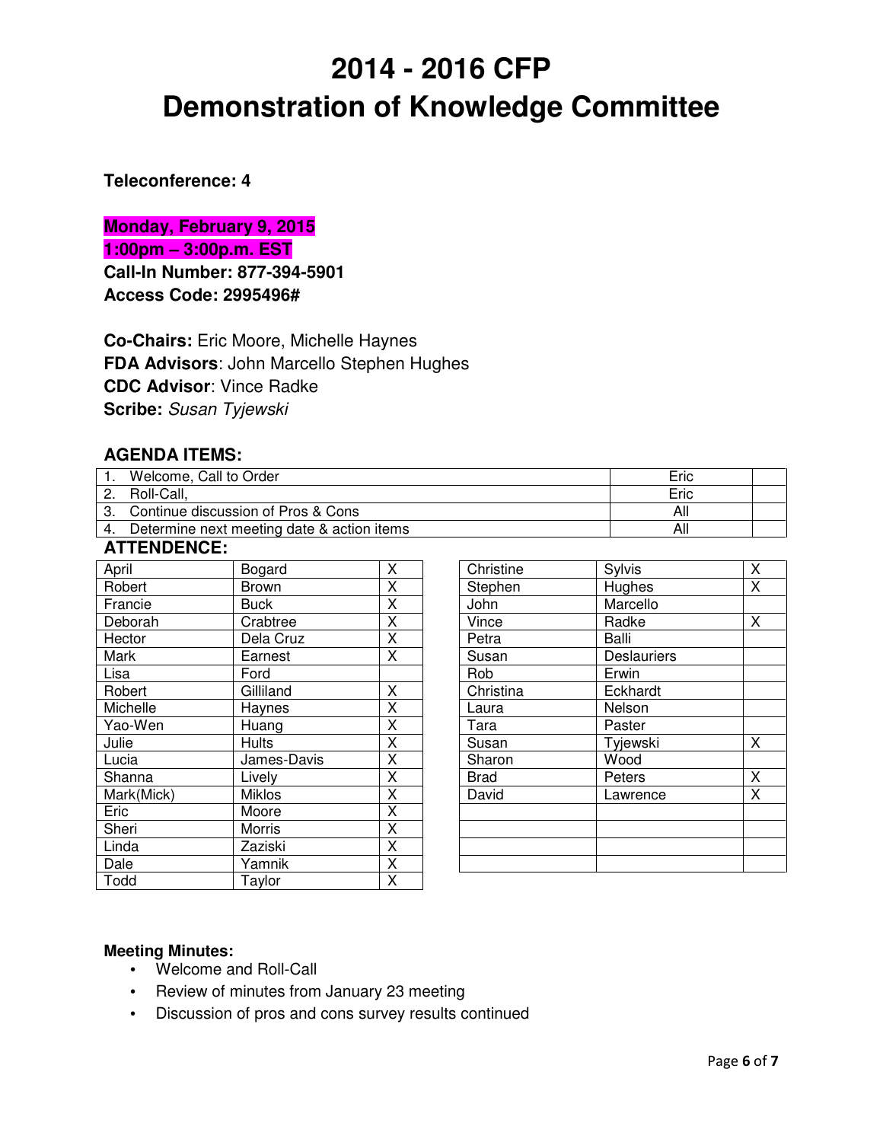#### **Teleconference: 4**

**Monday, February 9, 2015 1:00pm – 3:00p.m. EST Call-In Number: 877-394-5901 Access Code: 2995496#**

**Co-Chairs:** Eric Moore, Michelle Haynes **FDA Advisors**: John Marcello Stephen Hughes **CDC Advisor**: Vince Radke **Scribe:** Susan Tyjewski

## **AGENDA ITEMS:**

| Welcome, Call to Order                     | Eric |  |
|--------------------------------------------|------|--|
| Roll-Call,                                 | Eric |  |
| 3. Continue discussion of Pros & Cons      | All  |  |
| Determine next meeting date & action items | All  |  |

#### **ATTENDENCE:**

| April      | Bogard        | Χ                       |
|------------|---------------|-------------------------|
|            |               |                         |
| Robert     | <b>Brown</b>  | Χ                       |
| Francie    | <b>Buck</b>   | X                       |
| Deborah    | Crabtree      | X                       |
| Hector     | Dela Cruz     | X                       |
| Mark       | Earnest       | X                       |
| Lisa       | Ford          |                         |
| Robert     | Gilliland     | X                       |
| Michelle   | Haynes        | X                       |
| Yao-Wen    | Huang         | X                       |
| Julie      | <b>Hults</b>  | X                       |
| Lucia      | James-Davis   | X                       |
| Shanna     | Lively        | X                       |
| Mark(Mick) | <b>Miklos</b> | $\overline{\mathsf{x}}$ |
| Eric       | Moore         | X                       |
| Sheri      | Morris        | Χ                       |
| Linda      | Zaziski       | X                       |
| Dale       | Yamnik        | Χ                       |
| Todd       | Taylor        | X                       |

| Christine   | Sylvis             | Χ |
|-------------|--------------------|---|
| Stephen     | Hughes             | Χ |
| John        | Marcello           |   |
| Vince       | Radke              | Χ |
| Petra       | Balli              |   |
| Susan       | <b>Deslauriers</b> |   |
| Rob         | Erwin              |   |
| Christina   | Eckhardt           |   |
| Laura       | Nelson             |   |
| Tara        | Paster             |   |
| Susan       | Tyjewski           | x |
| Sharon      | Wood               |   |
| <b>Brad</b> | Peters             | Χ |
| David       | Lawrence           | X |
|             |                    |   |
|             |                    |   |
|             |                    |   |
|             |                    |   |

#### **Meeting Minutes:**

- Welcome and Roll-Call
- Review of minutes from January 23 meeting
- Discussion of pros and cons survey results continued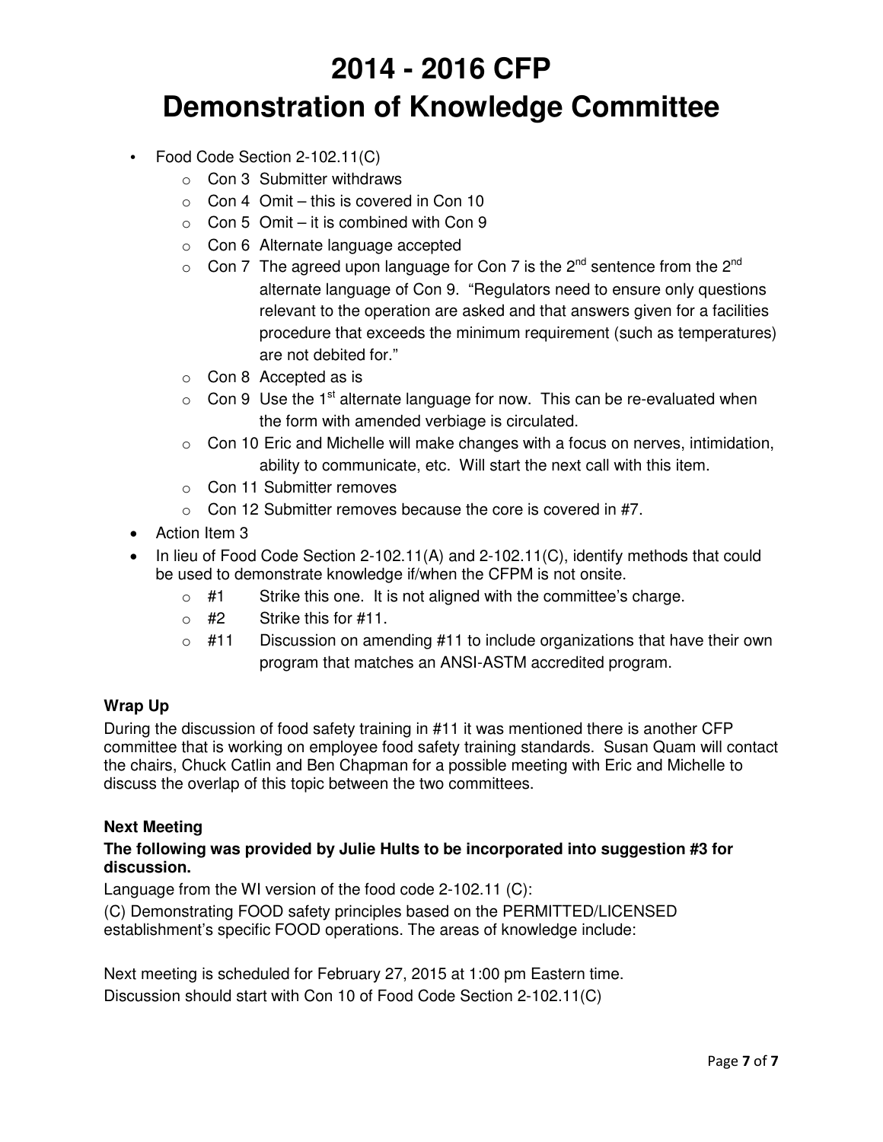- Food Code Section 2-102.11(C)
	- o Con 3 Submitter withdraws
	- $\circ$  Con 4 Omit this is covered in Con 10
	- $\circ$  Con 5 Omit it is combined with Con 9
	- o Con 6 Alternate language accepted
	- $\circ$  Con 7 The agreed upon language for Con 7 is the 2<sup>nd</sup> sentence from the 2<sup>nd</sup> alternate language of Con 9. "Regulators need to ensure only questions relevant to the operation are asked and that answers given for a facilities procedure that exceeds the minimum requirement (such as temperatures) are not debited for."
	- o Con 8 Accepted as is
	- $\circ$  Con 9 Use the 1<sup>st</sup> alternate language for now. This can be re-evaluated when the form with amended verbiage is circulated.
	- $\circ$  Con 10 Eric and Michelle will make changes with a focus on nerves, intimidation, ability to communicate, etc. Will start the next call with this item.
	- o Con 11 Submitter removes
	- $\circ$  Con 12 Submitter removes because the core is covered in #7.
- Action Item 3
- In lieu of Food Code Section 2-102.11(A) and 2-102.11(C), identify methods that could be used to demonstrate knowledge if/when the CFPM is not onsite.
	- $\circ$  #1 Strike this one. It is not aligned with the committee's charge.
	- $\circ$  #2 Strike this for #11.
	- $\circ$  #11 Discussion on amending #11 to include organizations that have their own program that matches an ANSI-ASTM accredited program.

#### **Wrap Up**

During the discussion of food safety training in #11 it was mentioned there is another CFP committee that is working on employee food safety training standards. Susan Quam will contact the chairs, Chuck Catlin and Ben Chapman for a possible meeting with Eric and Michelle to discuss the overlap of this topic between the two committees.

#### **Next Meeting**

#### **The following was provided by Julie Hults to be incorporated into suggestion #3 for discussion.**

Language from the WI version of the food code 2-102.11 (C):

(C) Demonstrating FOOD safety principles based on the PERMITTED/LICENSED establishment's specific FOOD operations. The areas of knowledge include:

Next meeting is scheduled for February 27, 2015 at 1:00 pm Eastern time. Discussion should start with Con 10 of Food Code Section 2-102.11(C)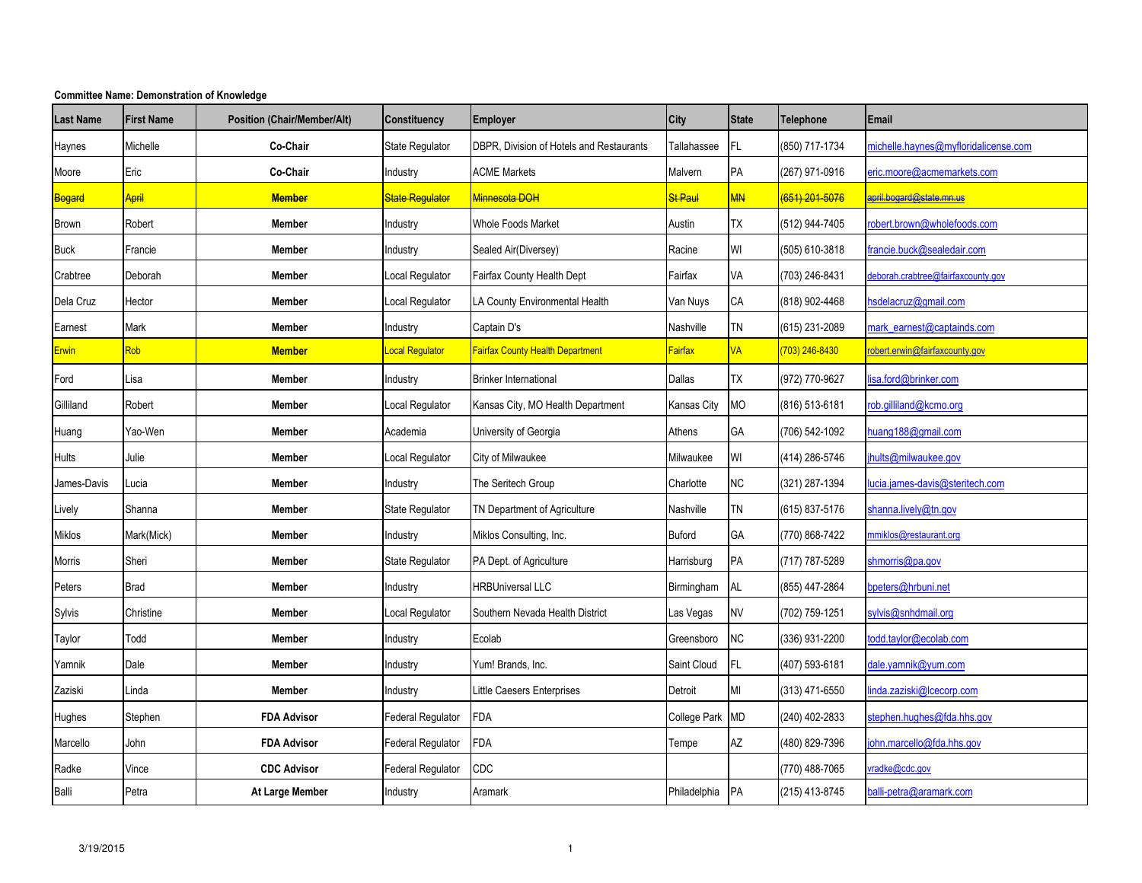| <b>Last Name</b>    | <b>First Name</b>  | <b>Position (Chair/Member/Alt)</b> | <b>Constituency</b>      | <b>Employer</b>                          | <b>City</b>          | <b>State</b> | <b>Telephone</b> | Email                                |
|---------------------|--------------------|------------------------------------|--------------------------|------------------------------------------|----------------------|--------------|------------------|--------------------------------------|
| Haynes              | Michelle           | Co-Chair                           | State Regulator          | DBPR, Division of Hotels and Restaurants | Tallahassee          | FL.          | (850) 717-1734   | michelle.haynes@myfloridalicense.com |
| Moore               | Eric               | Co-Chair                           | Industry                 | <b>ACME Markets</b>                      | Malvern              | PA           | (267) 971-0916   | eric.moore@acmemarkets.com           |
| <mark>Bogard</mark> | <mark>April</mark> | <b>Member</b>                      | <b>State Regulator</b>   | <mark>Minnesota DOH</mark>               | <mark>St Paul</mark> | <b>MN</b>    | (651) 201-5076   | april.bogard@state.mn.us             |
| <b>Brown</b>        | Robert             | <b>Member</b>                      | Industry                 | <b>Whole Foods Market</b>                | Austin               | <b>TX</b>    | (512) 944-7405   | robert.brown@wholefoods.com          |
| <b>Buck</b>         | Francie            | <b>Member</b>                      | Industry                 | Sealed Air(Diversey)                     | Racine               | WI           | (505) 610-3818   | francie.buck@sealedair.com           |
| Crabtree            | Deborah            | Member                             | Local Regulator          | Fairfax County Health Dept               | Fairfax              | VA           | (703) 246-8431   | deborah.crabtree@fairfaxcounty.gov   |
| Dela Cruz           | Hector             | Member                             | Local Regulator          | LA County Environmental Health           | Van Nuys             | CA           | (818) 902-4468   | sdelacruz@gmail.com                  |
| Earnest             | Mark               | Member                             | Industry                 | Captain D's                              | Nashville            | <b>TN</b>    | (615) 231-2089   | mark_earnest@captainds.com           |
| <b>Erwin</b>        | Rob                | <b>Member</b>                      | Local Regulator          | Fairfax County Health Department         | <b>Fairfax</b>       | <b>VA</b>    | (703) 246-8430   | robert.erwin@fairfaxcounty.gov       |
| Ford                | Lisa               | Member                             | Industry                 | <b>Brinker International</b>             | Dallas               | <b>TX</b>    | (972) 770-9627   | isa.ford@brinker.com                 |
| Gilliland           | Robert             | <b>Member</b>                      | Local Regulator          | Kansas City, MO Health Department        | Kansas City          | MO           | (816) 513-6181   | rob.gilliland@kcmo.org               |
| Huang               | Yao-Wen            | Member                             | Academia                 | University of Georgia                    | Athens               | GA           | (706) 542-1092   | nuang188@gmail.com                   |
| <b>Hults</b>        | Julie              | <b>Member</b>                      | Local Regulator          | City of Milwaukee                        | Milwaukee            | WI           | (414) 286-5746   | hults@milwaukee.gov                  |
| James-Davis         | Lucia              | <b>Member</b>                      | Industry                 | The Seritech Group                       | Charlotte            | NC           | (321) 287-1394   | ucia.james-davis@steritech.com       |
| Lively              | Shanna             | Member                             | State Regulator          | TN Department of Agriculture             | Nashville            | <b>TN</b>    | (615) 837-5176   | shanna.lively@tn.gov                 |
| Miklos              | Mark(Mick)         | <b>Member</b>                      | Industry                 | Miklos Consulting, Inc.                  | <b>Buford</b>        | GA           | (770) 868-7422   | nmiklos@restaurant.org               |
| Morris              | Sheri              | Member                             | State Regulator          | PA Dept. of Agriculture                  | Harrisburg           | PA           | (717) 787-5289   | shmorris@pa.gov                      |
| Peters              | Brad               | Member                             | Industry                 | <b>HRBUniversal LLC</b>                  | Birmingham           | AL           | (855) 447-2864   | bpeters@hrbuni.net                   |
| Sylvis              | Christine          | Member                             | Local Regulator          | Southern Nevada Health District          | Las Vegas            | <b>NV</b>    | (702) 759-1251   | sylvis@snhdmail.org                  |
| Taylor              | Todd               | Member                             | Industry                 | Ecolab                                   | Greensboro           | <b>NC</b>    | (336) 931-2200   | todd.taylor@ecolab.com               |
| Yamnik              | Dale               | <b>Member</b>                      | Industry                 | Yum! Brands, Inc.                        | Saint Cloud          | FL           | (407) 593-6181   | dale.yamnik@yum.com                  |
| Zaziski             | .inda              | <b>Member</b>                      | Industry                 | Little Caesers Enterprises               | Detroit              | MI           | (313) 471-6550   | nda.zaziski@lcecorp.com              |
| Hughes              | Stephen            | <b>FDA Advisor</b>                 | <b>Federal Regulator</b> | FDA                                      | College Park         | <b>MD</b>    | (240) 402-2833   | stephen.hughes@fda.hhs.gov           |
| Marcello            | John               | <b>FDA Advisor</b>                 | Federal Regulator        | FDA                                      | Tempe                | AZ           | (480) 829-7396   | ohn.marcello@fda.hhs.gov             |
| Radke               | Vince              | <b>CDC Advisor</b>                 | Federal Regulator        | CDC                                      |                      |              | (770) 488-7065   | radke@cdc.gov                        |
| Balli               | Petra              | At Large Member                    | Industry                 | Aramark                                  | Philadelphia         | PA           | (215) 413-8745   | balli-petra@aramark.com              |

#### **Committee Name: Demonstration of Knowledge**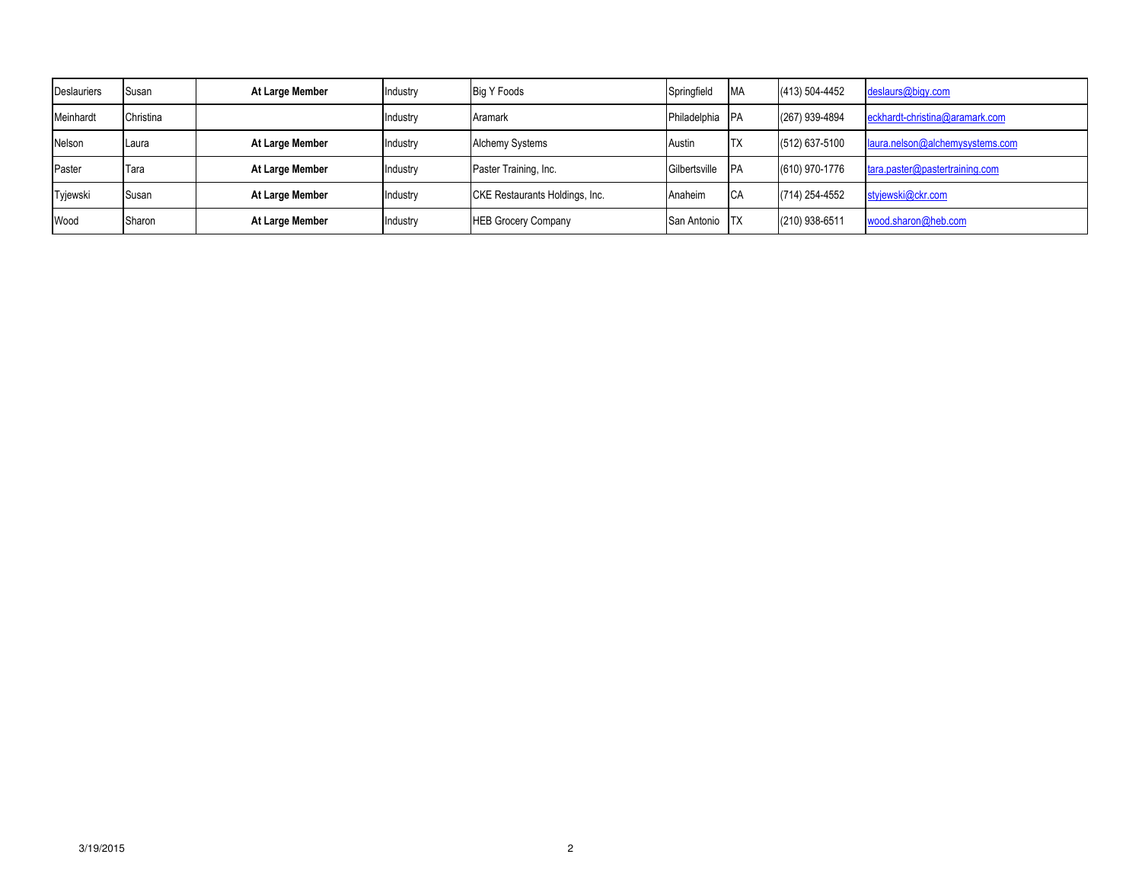| <b>Deslauriers</b> | Susan     | At Large Member | Industry | <b>Big Y Foods</b>             | Springfield   | <b>MA</b>  | (413) 504-4452 | deslaurs@bigy.com               |
|--------------------|-----------|-----------------|----------|--------------------------------|---------------|------------|----------------|---------------------------------|
| Meinhardt          | Christina |                 | Industry | Aramark                        | Philadelphia  | <b>IPA</b> | (267) 939-4894 | eckhardt-christina@aramark.com  |
| Nelson             | Laura     | At Large Member | Industry | <b>Alchemy Systems</b>         | Austin        | <b>ITX</b> | (512) 637-5100 | laura.nelson@alchemysystems.com |
| Paster             | Tara      | At Large Member | Industry | Paster Training, Inc.          | Gilbertsville | <b>IPA</b> | (610) 970-1776 | tara.paster@pastertraining.com  |
| Tyjewski           | Susan     | At Large Member | Industry | CKE Restaurants Holdings, Inc. | Anaheim       | <b>CA</b>  | (714) 254-4552 | styjewski@ckr.com               |
| Wood               | Sharon    | At Large Member | Industry | <b>HEB Grocery Company</b>     | San Antonio   | <b>ITX</b> | (210) 938-6511 | wood.sharon@heb.com             |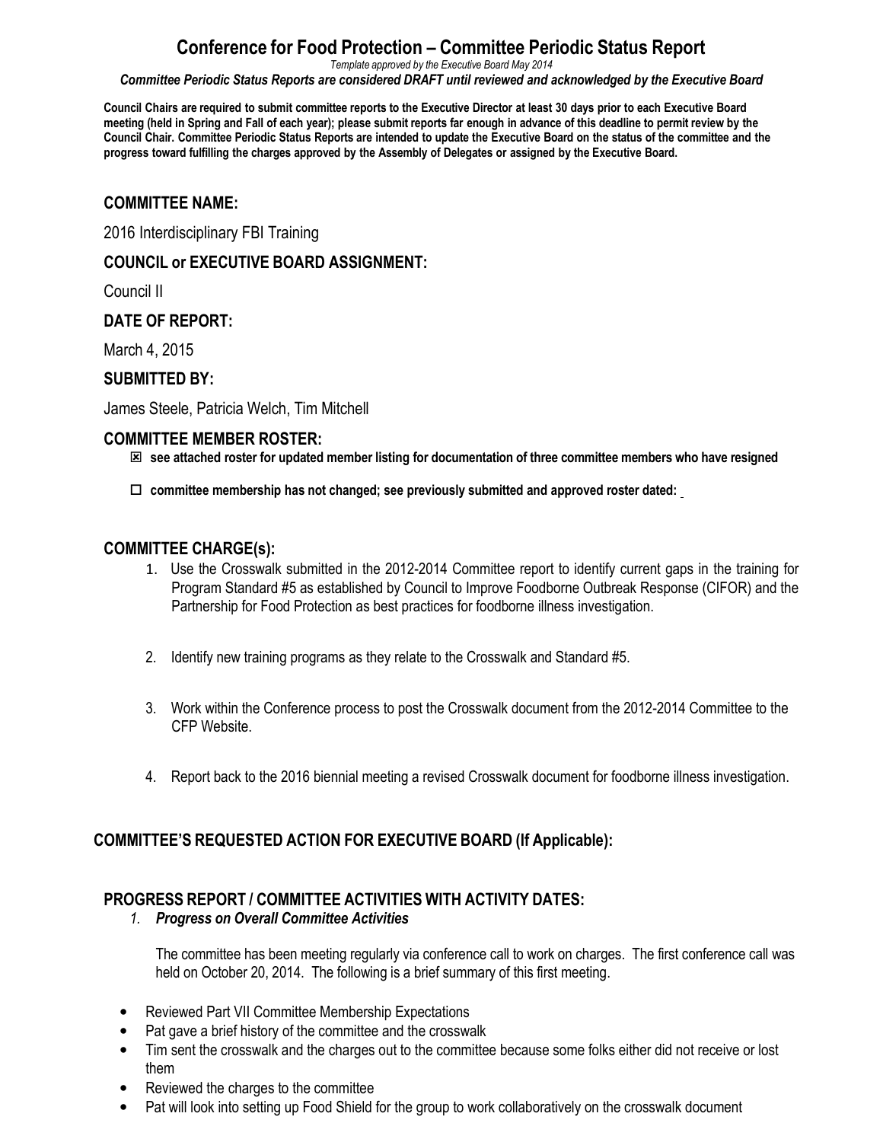# **Conference for Food Protection – Committee Periodic Status Report**

*Template approved by the Executive Board May 2014*

*Committee Periodic Status Reports are considered DRAFT until reviewed and acknowledged by the Executive Board*

**Council Chairs are required to submit committee reports to the Executive Director at least 30 days prior to each Executive Board meeting (held in Spring and Fall of each year); please submit reports far enough in advance of this deadline to permit review by the Council Chair. Committee Periodic Status Reports are intended to update the Executive Board on the status of the committee and the progress toward fulfilling the charges approved by the Assembly of Delegates or assigned by the Executive Board.**

#### **COMMITTEE NAME:**

2016 Interdisciplinary FBI Training

#### **COUNCIL or EXECUTIVE BOARD ASSIGNMENT:**

Council II

#### **DATE OF REPORT:**

March 4, 2015

#### **SUBMITTED BY:**

James Steele, Patricia Welch, Tim Mitchell

#### **COMMITTEE MEMBER ROSTER:**

- **see attached roster for updated member listing for documentation of three committee members who have resigned**
- □ committee membership has not changed; see previously submitted and approved roster dated:

#### **COMMITTEE CHARGE(s):**

- 1. Use the Crosswalk submitted in the 2012-2014 Committee report to identify current gaps in the training for Program Standard #5 as established by Council to Improve Foodborne Outbreak Response (CIFOR) and the Partnership for Food Protection as best practices for foodborne illness investigation.
- 2. Identify new training programs as they relate to the Crosswalk and Standard #5.
- 3. Work within the Conference process to post the Crosswalk document from the 2012-2014 Committee to the CFP Website.
- 4. Report back to the 2016 biennial meeting a revised Crosswalk document for foodborne illness investigation.

## **COMMITTEE'S REQUESTED ACTION FOR EXECUTIVE BOARD (If Applicable):**

#### **PROGRESS REPORT / COMMITTEE ACTIVITIES WITH ACTIVITY DATES:**

#### *1. Progress on Overall Committee Activities*

The committee has been meeting regularly via conference call to work on charges. The first conference call was held on October 20, 2014. The following is a brief summary of this first meeting.

- Reviewed Part VII Committee Membership Expectations
- Pat gave a brief history of the committee and the crosswalk
- Tim sent the crosswalk and the charges out to the committee because some folks either did not receive or lost them
- Reviewed the charges to the committee
- Pat will look into setting up Food Shield for the group to work collaboratively on the crosswalk document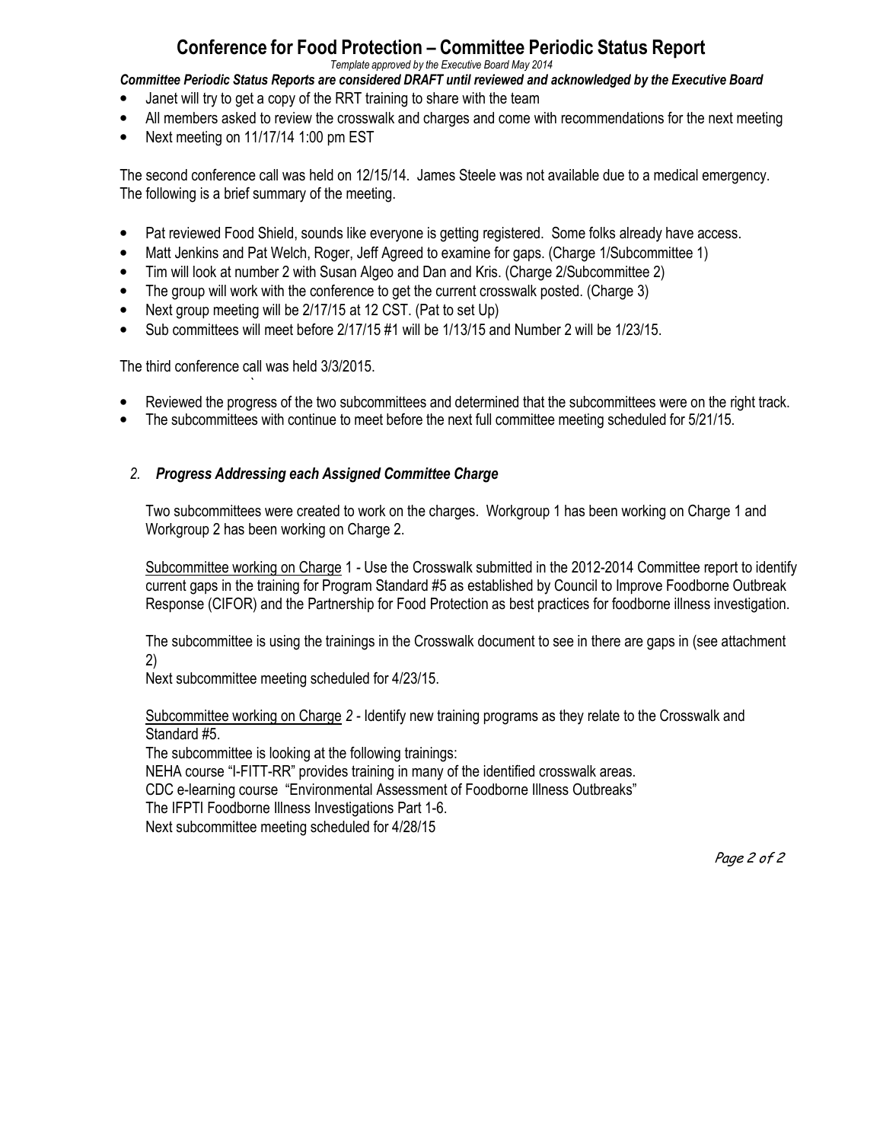# **Conference for Food Protection – Committee Periodic Status Report**

*Template approved by the Executive Board May 2014*

*Committee Periodic Status Reports are considered DRAFT until reviewed and acknowledged by the Executive Board*

- Janet will try to get a copy of the RRT training to share with the team
- All members asked to review the crosswalk and charges and come with recommendations for the next meeting
- Next meeting on 11/17/14 1:00 pm EST

The second conference call was held on 12/15/14. James Steele was not available due to a medical emergency. The following is a brief summary of the meeting.

- Pat reviewed Food Shield, sounds like everyone is getting registered. Some folks already have access.
- Matt Jenkins and Pat Welch, Roger, Jeff Agreed to examine for gaps. (Charge 1/Subcommittee 1)
- Tim will look at number 2 with Susan Algeo and Dan and Kris. (Charge 2/Subcommittee 2)
- The group will work with the conference to get the current crosswalk posted. (Charge 3)
- Next group meeting will be 2/17/15 at 12 CST. (Pat to set Up)
- Sub committees will meet before 2/17/15 #1 will be 1/13/15 and Number 2 will be 1/23/15.

The third conference call was held 3/3/2015.

- *`*  • Reviewed the progress of the two subcommittees and determined that the subcommittees were on the right track.
- The subcommittees with continue to meet before the next full committee meeting scheduled for 5/21/15.

#### *2. Progress Addressing each Assigned Committee Charge*

Two subcommittees were created to work on the charges. Workgroup 1 has been working on Charge 1 and Workgroup 2 has been working on Charge 2.

Subcommittee working on Charge 1 *-* Use the Crosswalk submitted in the 2012-2014 Committee report to identify current gaps in the training for Program Standard #5 as established by Council to Improve Foodborne Outbreak Response (CIFOR) and the Partnership for Food Protection as best practices for foodborne illness investigation.

The subcommittee is using the trainings in the Crosswalk document to see in there are gaps in (see attachment 2)

Next subcommittee meeting scheduled for 4/23/15.

Subcommittee working on Charge *2 -* Identify new training programs as they relate to the Crosswalk and Standard #5.

The subcommittee is looking at the following trainings:

NEHA course "I-FITT-RR" provides training in many of the identified crosswalk areas.

CDC e-learning course "Environmental Assessment of Foodborne Illness Outbreaks"

The IFPTI Foodborne Illness Investigations Part 1-6.

Next subcommittee meeting scheduled for 4/28/15

Page 2 of 2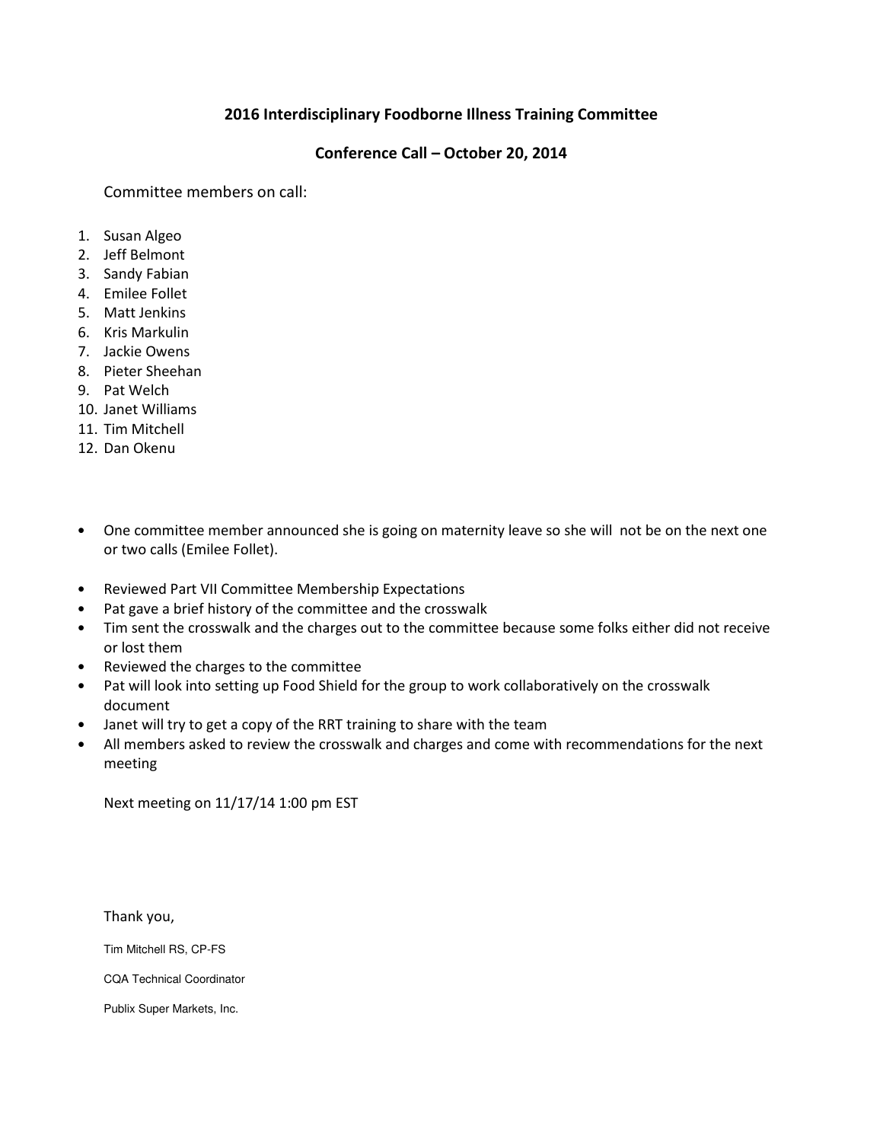#### **2016 Interdisciplinary Foodborne Illness Training Committee**

#### **Conference Call – October 20, 2014**

Committee members on call:

- 1. Susan Algeo
- 2. Jeff Belmont
- 3. Sandy Fabian
- 4. Emilee Follet
- 5. Matt Jenkins
- 6. Kris Markulin
- 7. Jackie Owens
- 8. Pieter Sheehan
- 9. Pat Welch
- 10. Janet Williams
- 11. Tim Mitchell
- 12. Dan Okenu
- One committee member announced she is going on maternity leave so she will not be on the next one or two calls (Emilee Follet).
- Reviewed Part VII Committee Membership Expectations
- Pat gave a brief history of the committee and the crosswalk
- Tim sent the crosswalk and the charges out to the committee because some folks either did not receive or lost them
- Reviewed the charges to the committee
- Pat will look into setting up Food Shield for the group to work collaboratively on the crosswalk document
- Janet will try to get a copy of the RRT training to share with the team
- All members asked to review the crosswalk and charges and come with recommendations for the next meeting

Next meeting on 11/17/14 1:00 pm EST

Thank you,

Tim Mitchell RS, CP-FS

CQA Technical Coordinator

Publix Super Markets, Inc.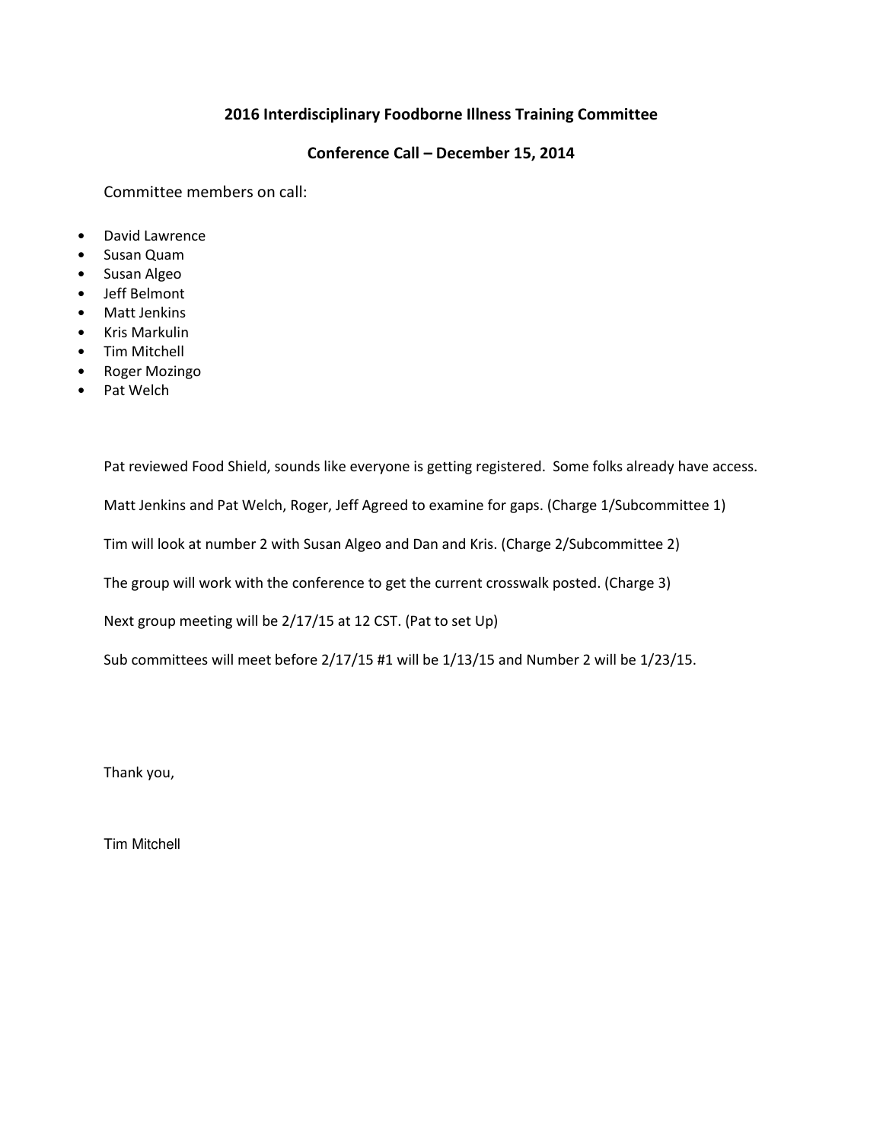#### **2016 Interdisciplinary Foodborne Illness Training Committee**

#### **Conference Call – December 15, 2014**

Committee members on call:

- David Lawrence
- Susan Quam
- Susan Algeo
- Jeff Belmont
- Matt Jenkins
- Kris Markulin
- Tim Mitchell
- Roger Mozingo
- Pat Welch

Pat reviewed Food Shield, sounds like everyone is getting registered. Some folks already have access. Matt Jenkins and Pat Welch, Roger, Jeff Agreed to examine for gaps. (Charge 1/Subcommittee 1) Tim will look at number 2 with Susan Algeo and Dan and Kris. (Charge 2/Subcommittee 2) The group will work with the conference to get the current crosswalk posted. (Charge 3) Next group meeting will be 2/17/15 at 12 CST. (Pat to set Up) Sub committees will meet before 2/17/15 #1 will be 1/13/15 and Number 2 will be 1/23/15.

Thank you,

Tim Mitchell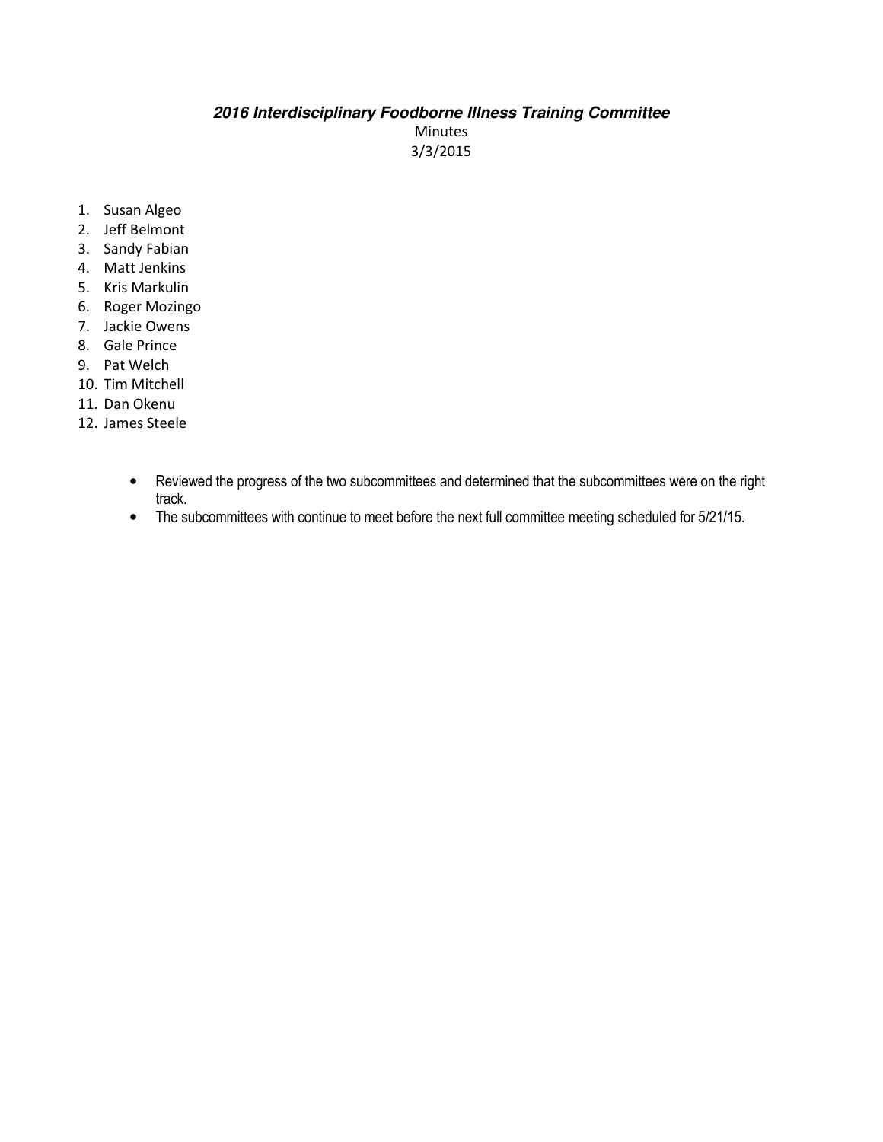# **2016 Interdisciplinary Foodborne Illness Training Committee**

Minutes 3/3/2015

- 1. Susan Algeo
- 2. Jeff Belmont
- 3. Sandy Fabian
- 4. Matt Jenkins
- 5. Kris Markulin
- 6. Roger Mozingo
- 7. Jackie Owens
- 8. Gale Prince
- 9. Pat Welch
- 10. Tim Mitchell
- 11. Dan Okenu
- 12. James Steele
	- Reviewed the progress of the two subcommittees and determined that the subcommittees were on the right track.
	- The subcommittees with continue to meet before the next full committee meeting scheduled for 5/21/15.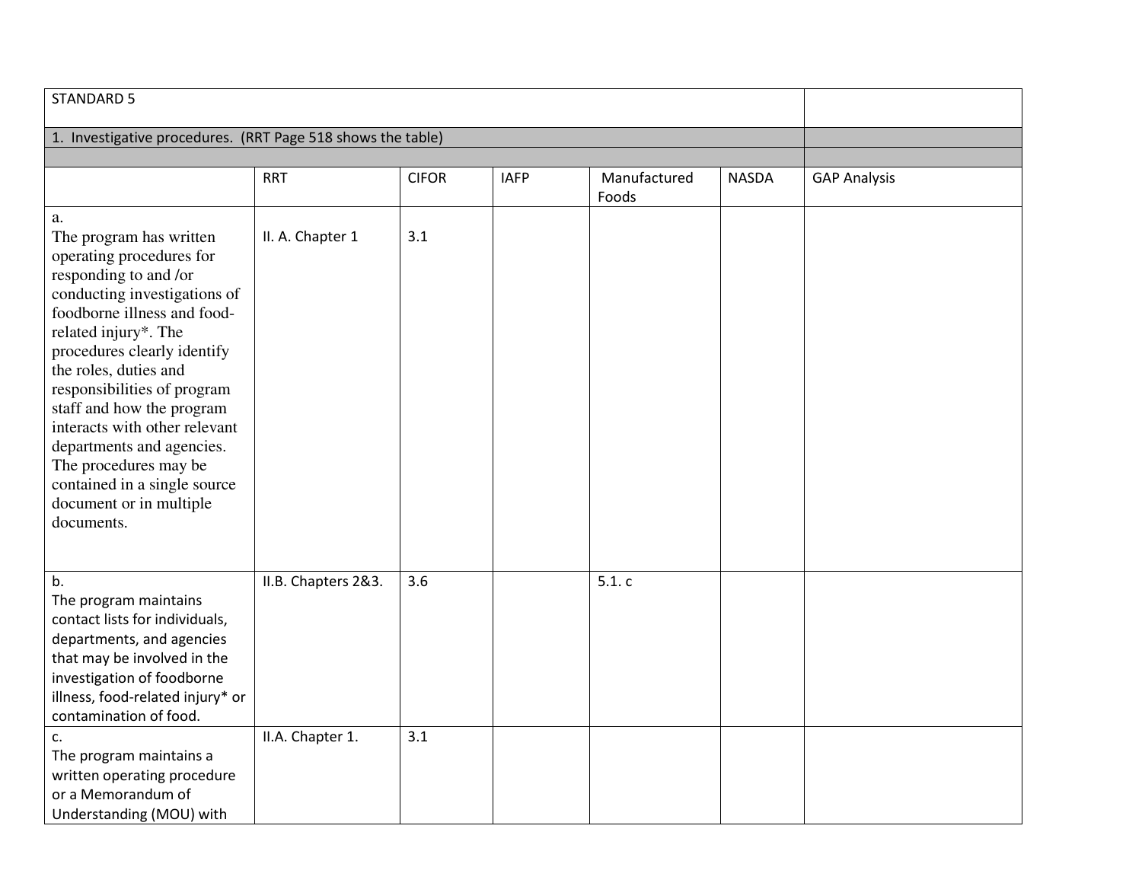| <b>STANDARD 5</b>                                                                                                                                                                                                                                                                                                                                                                                                                                             |                     |              |             |                       |              |                     |
|---------------------------------------------------------------------------------------------------------------------------------------------------------------------------------------------------------------------------------------------------------------------------------------------------------------------------------------------------------------------------------------------------------------------------------------------------------------|---------------------|--------------|-------------|-----------------------|--------------|---------------------|
| 1. Investigative procedures. (RRT Page 518 shows the table)                                                                                                                                                                                                                                                                                                                                                                                                   |                     |              |             |                       |              |                     |
|                                                                                                                                                                                                                                                                                                                                                                                                                                                               |                     |              |             |                       |              |                     |
|                                                                                                                                                                                                                                                                                                                                                                                                                                                               | <b>RRT</b>          | <b>CIFOR</b> | <b>IAFP</b> | Manufactured<br>Foods | <b>NASDA</b> | <b>GAP Analysis</b> |
| a.<br>The program has written<br>operating procedures for<br>responding to and /or<br>conducting investigations of<br>foodborne illness and food-<br>related injury*. The<br>procedures clearly identify<br>the roles, duties and<br>responsibilities of program<br>staff and how the program<br>interacts with other relevant<br>departments and agencies.<br>The procedures may be<br>contained in a single source<br>document or in multiple<br>documents. | II. A. Chapter 1    | 3.1          |             |                       |              |                     |
| b.<br>The program maintains<br>contact lists for individuals,<br>departments, and agencies<br>that may be involved in the<br>investigation of foodborne<br>illness, food-related injury* or<br>contamination of food.                                                                                                                                                                                                                                         | II.B. Chapters 2&3. | 3.6          |             | 5.1.c                 |              |                     |
| c.<br>The program maintains a<br>written operating procedure<br>or a Memorandum of<br>Understanding (MOU) with                                                                                                                                                                                                                                                                                                                                                | II.A. Chapter 1.    | 3.1          |             |                       |              |                     |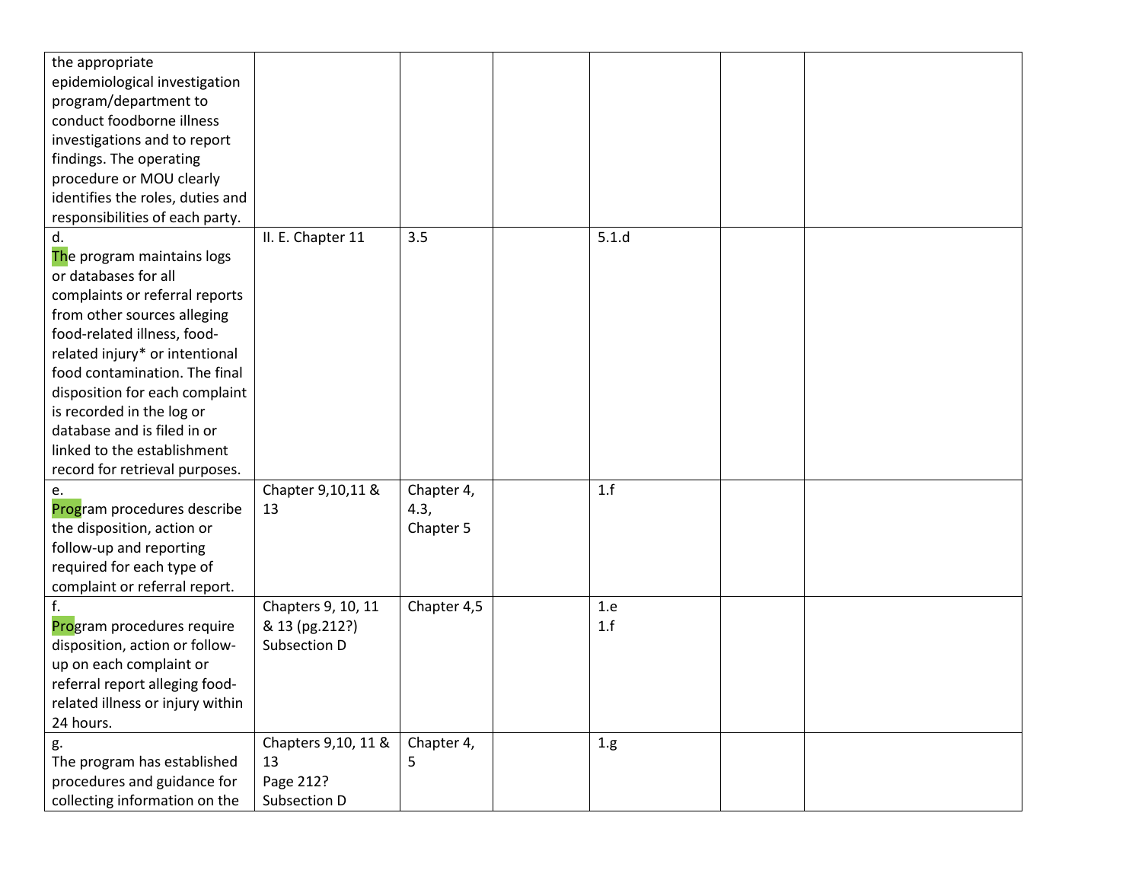| the appropriate                  |                     |             |       |  |
|----------------------------------|---------------------|-------------|-------|--|
| epidemiological investigation    |                     |             |       |  |
| program/department to            |                     |             |       |  |
| conduct foodborne illness        |                     |             |       |  |
| investigations and to report     |                     |             |       |  |
| findings. The operating          |                     |             |       |  |
| procedure or MOU clearly         |                     |             |       |  |
| identifies the roles, duties and |                     |             |       |  |
| responsibilities of each party.  |                     |             |       |  |
| d.                               | II. E. Chapter 11   | 3.5         | 5.1.d |  |
| The program maintains logs       |                     |             |       |  |
| or databases for all             |                     |             |       |  |
| complaints or referral reports   |                     |             |       |  |
| from other sources alleging      |                     |             |       |  |
| food-related illness, food-      |                     |             |       |  |
| related injury* or intentional   |                     |             |       |  |
| food contamination. The final    |                     |             |       |  |
| disposition for each complaint   |                     |             |       |  |
| is recorded in the log or        |                     |             |       |  |
| database and is filed in or      |                     |             |       |  |
| linked to the establishment      |                     |             |       |  |
| record for retrieval purposes.   |                     |             |       |  |
| e.                               | Chapter 9,10,11 &   | Chapter 4,  | 1.f   |  |
| Program procedures describe      | 13                  | 4.3,        |       |  |
| the disposition, action or       |                     | Chapter 5   |       |  |
| follow-up and reporting          |                     |             |       |  |
| required for each type of        |                     |             |       |  |
| complaint or referral report.    |                     |             |       |  |
| f.                               | Chapters 9, 10, 11  | Chapter 4,5 | 1.e   |  |
| Program procedures require       | & 13 (pg.212?)      |             | 1.f   |  |
| disposition, action or follow-   | Subsection D        |             |       |  |
| up on each complaint or          |                     |             |       |  |
| referral report alleging food-   |                     |             |       |  |
| related illness or injury within |                     |             |       |  |
| 24 hours.                        |                     |             |       |  |
| g.                               | Chapters 9,10, 11 & | Chapter 4,  | 1.g.  |  |
| The program has established      | 13                  | 5           |       |  |
| procedures and guidance for      | Page 212?           |             |       |  |
| collecting information on the    | Subsection D        |             |       |  |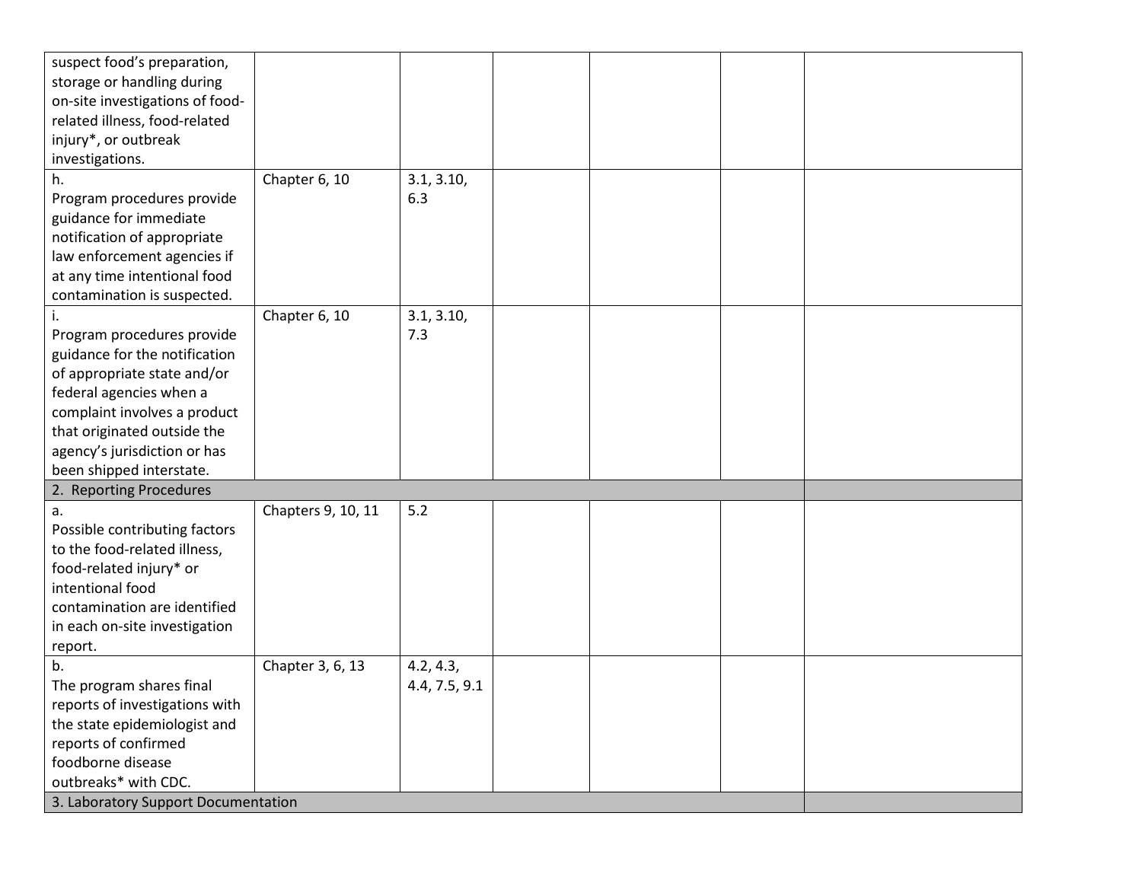| suspect food's preparation,                                   |                    |               |  |  |
|---------------------------------------------------------------|--------------------|---------------|--|--|
| storage or handling during                                    |                    |               |  |  |
| on-site investigations of food-                               |                    |               |  |  |
| related illness, food-related                                 |                    |               |  |  |
| injury*, or outbreak                                          |                    |               |  |  |
| investigations.                                               |                    |               |  |  |
| h.                                                            | Chapter 6, 10      | 3.1, 3.10,    |  |  |
| Program procedures provide                                    |                    | 6.3           |  |  |
| guidance for immediate                                        |                    |               |  |  |
| notification of appropriate                                   |                    |               |  |  |
| law enforcement agencies if                                   |                    |               |  |  |
| at any time intentional food                                  |                    |               |  |  |
| contamination is suspected.                                   |                    |               |  |  |
|                                                               | Chapter 6, 10      | 3.1, 3.10,    |  |  |
| Program procedures provide                                    |                    | 7.3           |  |  |
| guidance for the notification                                 |                    |               |  |  |
| of appropriate state and/or                                   |                    |               |  |  |
| federal agencies when a                                       |                    |               |  |  |
| complaint involves a product                                  |                    |               |  |  |
| that originated outside the                                   |                    |               |  |  |
| agency's jurisdiction or has                                  |                    |               |  |  |
| been shipped interstate.                                      |                    |               |  |  |
| 2. Reporting Procedures                                       |                    |               |  |  |
|                                                               |                    | 5.2           |  |  |
| a.                                                            | Chapters 9, 10, 11 |               |  |  |
| Possible contributing factors<br>to the food-related illness, |                    |               |  |  |
|                                                               |                    |               |  |  |
| food-related injury* or                                       |                    |               |  |  |
| intentional food                                              |                    |               |  |  |
| contamination are identified                                  |                    |               |  |  |
| in each on-site investigation                                 |                    |               |  |  |
| report.                                                       |                    |               |  |  |
| b.                                                            | Chapter 3, 6, 13   | 4.2, 4.3,     |  |  |
| The program shares final                                      |                    | 4.4, 7.5, 9.1 |  |  |
| reports of investigations with                                |                    |               |  |  |
| the state epidemiologist and                                  |                    |               |  |  |
| reports of confirmed                                          |                    |               |  |  |
| foodborne disease                                             |                    |               |  |  |
| outbreaks* with CDC.                                          |                    |               |  |  |
| 3. Laboratory Support Documentation                           |                    |               |  |  |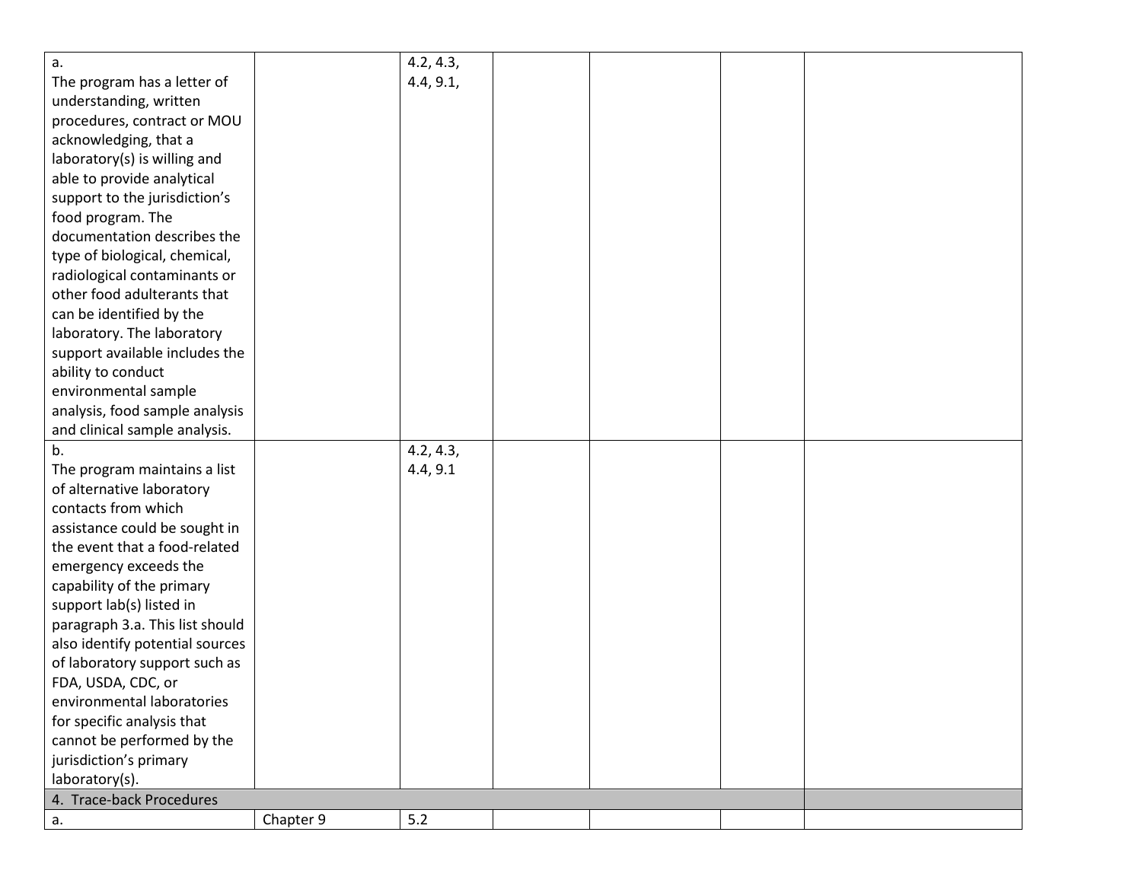| a.                              |           | 4.2, 4.3, |  |  |
|---------------------------------|-----------|-----------|--|--|
| The program has a letter of     |           | 4.4, 9.1, |  |  |
| understanding, written          |           |           |  |  |
| procedures, contract or MOU     |           |           |  |  |
| acknowledging, that a           |           |           |  |  |
| laboratory(s) is willing and    |           |           |  |  |
| able to provide analytical      |           |           |  |  |
| support to the jurisdiction's   |           |           |  |  |
| food program. The               |           |           |  |  |
| documentation describes the     |           |           |  |  |
| type of biological, chemical,   |           |           |  |  |
| radiological contaminants or    |           |           |  |  |
| other food adulterants that     |           |           |  |  |
| can be identified by the        |           |           |  |  |
| laboratory. The laboratory      |           |           |  |  |
| support available includes the  |           |           |  |  |
| ability to conduct              |           |           |  |  |
| environmental sample            |           |           |  |  |
| analysis, food sample analysis  |           |           |  |  |
| and clinical sample analysis.   |           |           |  |  |
| b.                              |           | 4.2, 4.3, |  |  |
| The program maintains a list    |           | 4.4, 9.1  |  |  |
| of alternative laboratory       |           |           |  |  |
| contacts from which             |           |           |  |  |
| assistance could be sought in   |           |           |  |  |
| the event that a food-related   |           |           |  |  |
| emergency exceeds the           |           |           |  |  |
| capability of the primary       |           |           |  |  |
| support lab(s) listed in        |           |           |  |  |
| paragraph 3.a. This list should |           |           |  |  |
| also identify potential sources |           |           |  |  |
| of laboratory support such as   |           |           |  |  |
| FDA, USDA, CDC, or              |           |           |  |  |
| environmental laboratories      |           |           |  |  |
| for specific analysis that      |           |           |  |  |
| cannot be performed by the      |           |           |  |  |
| jurisdiction's primary          |           |           |  |  |
| laboratory(s).                  |           |           |  |  |
| 4. Trace-back Procedures        |           |           |  |  |
| а.                              | Chapter 9 | 5.2       |  |  |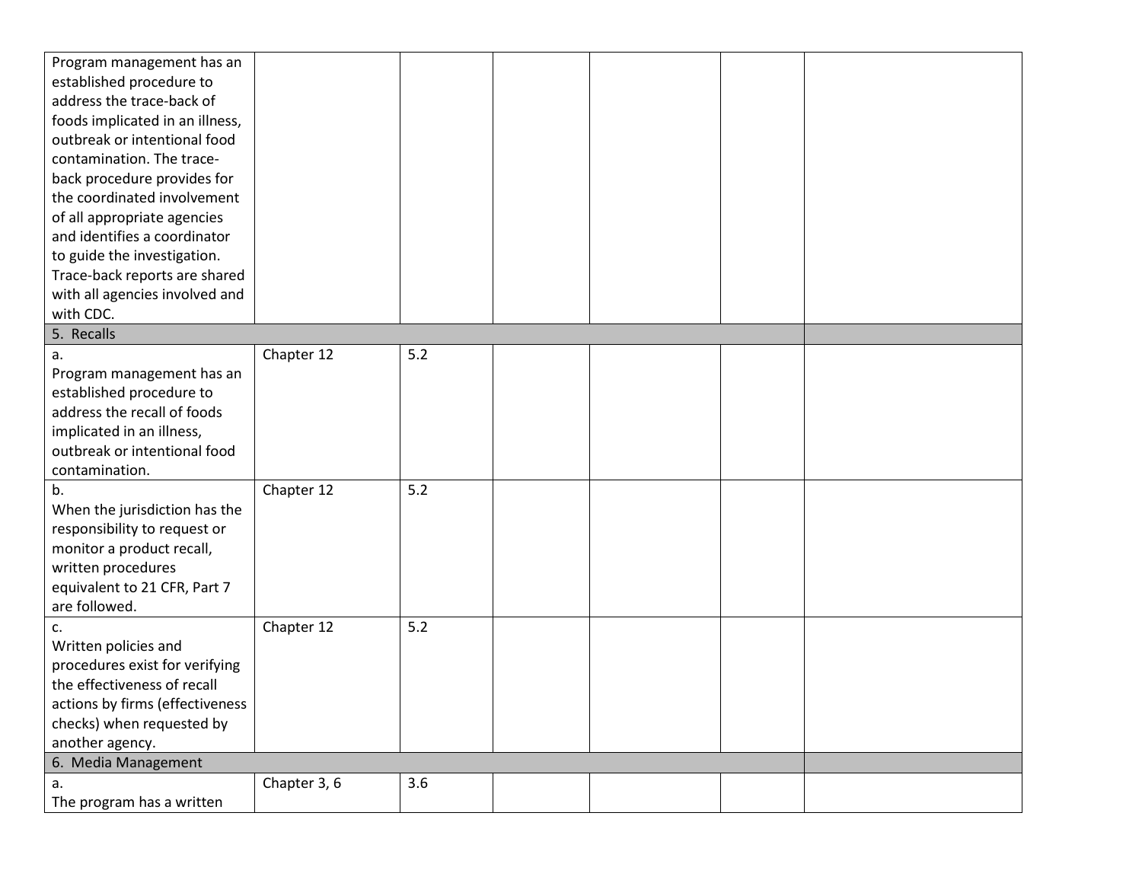| Program management has an       |              |     |  |  |
|---------------------------------|--------------|-----|--|--|
| established procedure to        |              |     |  |  |
| address the trace-back of       |              |     |  |  |
| foods implicated in an illness, |              |     |  |  |
| outbreak or intentional food    |              |     |  |  |
| contamination. The trace-       |              |     |  |  |
| back procedure provides for     |              |     |  |  |
| the coordinated involvement     |              |     |  |  |
| of all appropriate agencies     |              |     |  |  |
| and identifies a coordinator    |              |     |  |  |
| to guide the investigation.     |              |     |  |  |
| Trace-back reports are shared   |              |     |  |  |
| with all agencies involved and  |              |     |  |  |
| with CDC.                       |              |     |  |  |
| 5. Recalls                      |              |     |  |  |
| a.                              | Chapter 12   | 5.2 |  |  |
| Program management has an       |              |     |  |  |
| established procedure to        |              |     |  |  |
| address the recall of foods     |              |     |  |  |
| implicated in an illness,       |              |     |  |  |
| outbreak or intentional food    |              |     |  |  |
| contamination.                  |              |     |  |  |
| b.                              | Chapter 12   | 5.2 |  |  |
| When the jurisdiction has the   |              |     |  |  |
| responsibility to request or    |              |     |  |  |
| monitor a product recall,       |              |     |  |  |
| written procedures              |              |     |  |  |
| equivalent to 21 CFR, Part 7    |              |     |  |  |
| are followed.                   |              |     |  |  |
| c.                              | Chapter 12   | 5.2 |  |  |
| Written policies and            |              |     |  |  |
| procedures exist for verifying  |              |     |  |  |
| the effectiveness of recall     |              |     |  |  |
| actions by firms (effectiveness |              |     |  |  |
| checks) when requested by       |              |     |  |  |
| another agency.                 |              |     |  |  |
| 6. Media Management             |              |     |  |  |
| a.                              | Chapter 3, 6 | 3.6 |  |  |
| The program has a written       |              |     |  |  |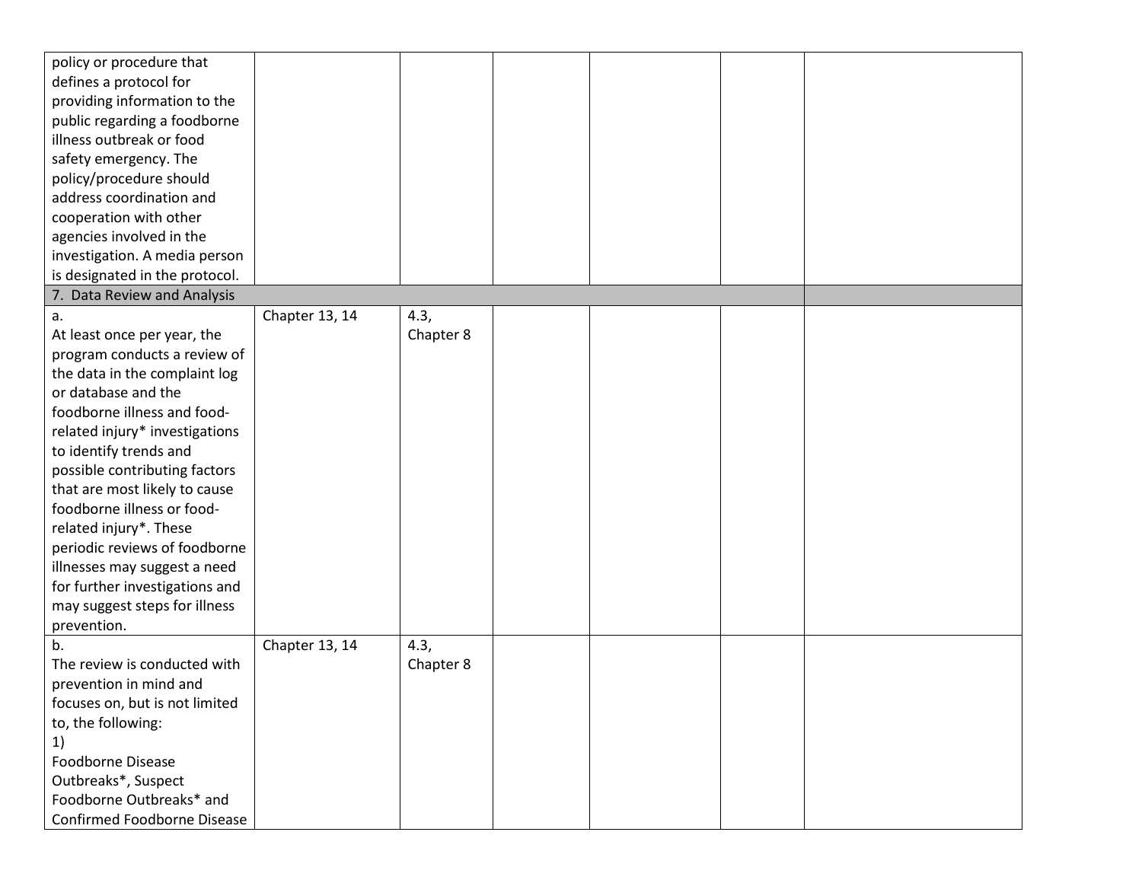| policy or procedure that       |                |           |  |  |
|--------------------------------|----------------|-----------|--|--|
| defines a protocol for         |                |           |  |  |
| providing information to the   |                |           |  |  |
| public regarding a foodborne   |                |           |  |  |
| illness outbreak or food       |                |           |  |  |
| safety emergency. The          |                |           |  |  |
| policy/procedure should        |                |           |  |  |
| address coordination and       |                |           |  |  |
| cooperation with other         |                |           |  |  |
| agencies involved in the       |                |           |  |  |
| investigation. A media person  |                |           |  |  |
| is designated in the protocol. |                |           |  |  |
| 7. Data Review and Analysis    |                |           |  |  |
| a.                             | Chapter 13, 14 | 4.3,      |  |  |
| At least once per year, the    |                | Chapter 8 |  |  |
| program conducts a review of   |                |           |  |  |
| the data in the complaint log  |                |           |  |  |
| or database and the            |                |           |  |  |
| foodborne illness and food-    |                |           |  |  |
| related injury* investigations |                |           |  |  |
| to identify trends and         |                |           |  |  |
| possible contributing factors  |                |           |  |  |
| that are most likely to cause  |                |           |  |  |
| foodborne illness or food-     |                |           |  |  |
| related injury*. These         |                |           |  |  |
| periodic reviews of foodborne  |                |           |  |  |
| illnesses may suggest a need   |                |           |  |  |
| for further investigations and |                |           |  |  |
| may suggest steps for illness  |                |           |  |  |
| prevention.                    |                |           |  |  |
| b.                             | Chapter 13, 14 | 4.3,      |  |  |
| The review is conducted with   |                | Chapter 8 |  |  |
| prevention in mind and         |                |           |  |  |
| focuses on, but is not limited |                |           |  |  |
| to, the following:             |                |           |  |  |
| 1)                             |                |           |  |  |
| Foodborne Disease              |                |           |  |  |
| Outbreaks*, Suspect            |                |           |  |  |
| Foodborne Outbreaks* and       |                |           |  |  |
| Confirmed Foodborne Disease    |                |           |  |  |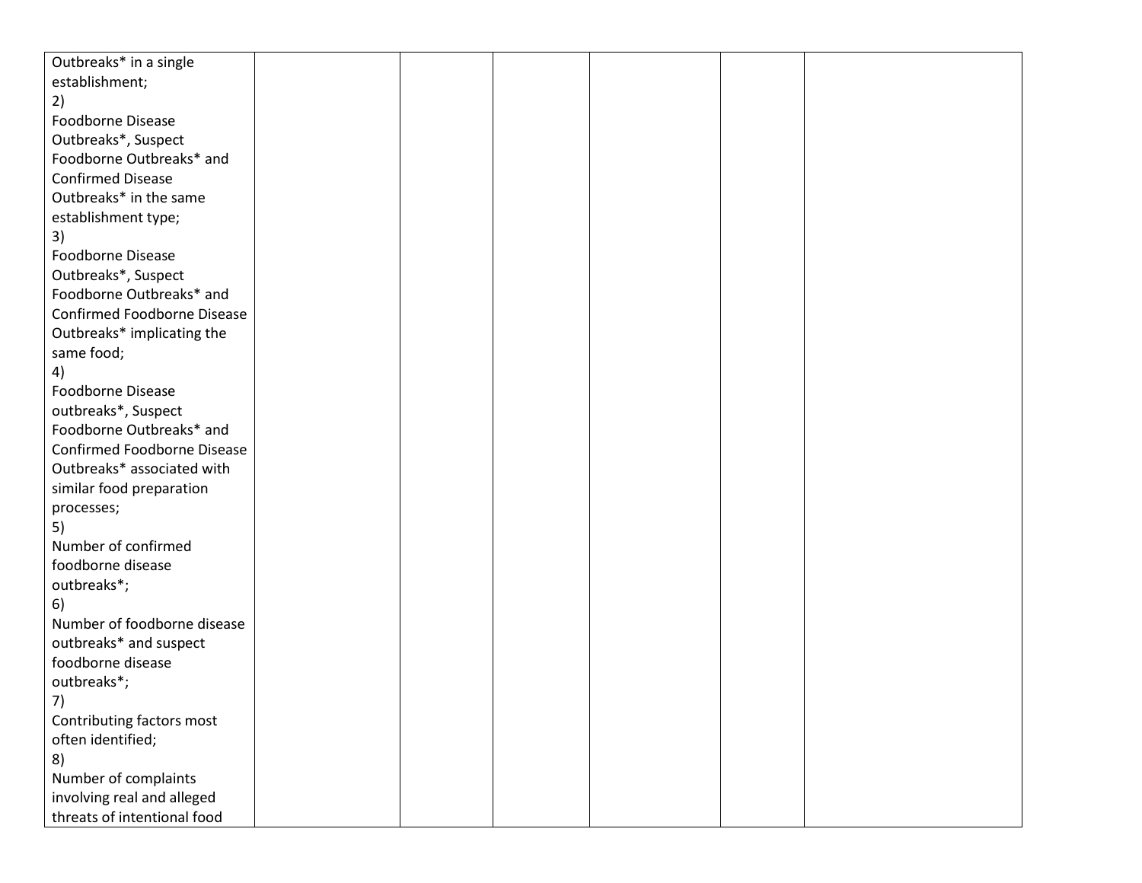| Outbreaks* in a single      |  |  |  |
|-----------------------------|--|--|--|
| establishment;              |  |  |  |
| 2)                          |  |  |  |
| Foodborne Disease           |  |  |  |
| Outbreaks*, Suspect         |  |  |  |
| Foodborne Outbreaks* and    |  |  |  |
| <b>Confirmed Disease</b>    |  |  |  |
| Outbreaks* in the same      |  |  |  |
| establishment type;         |  |  |  |
| 3)                          |  |  |  |
| Foodborne Disease           |  |  |  |
| Outbreaks*, Suspect         |  |  |  |
| Foodborne Outbreaks* and    |  |  |  |
| Confirmed Foodborne Disease |  |  |  |
| Outbreaks* implicating the  |  |  |  |
| same food;                  |  |  |  |
| 4)                          |  |  |  |
| Foodborne Disease           |  |  |  |
| outbreaks*, Suspect         |  |  |  |
| Foodborne Outbreaks* and    |  |  |  |
| Confirmed Foodborne Disease |  |  |  |
| Outbreaks* associated with  |  |  |  |
| similar food preparation    |  |  |  |
| processes;                  |  |  |  |
| 5)                          |  |  |  |
| Number of confirmed         |  |  |  |
| foodborne disease           |  |  |  |
| outbreaks*;                 |  |  |  |
| 6)                          |  |  |  |
| Number of foodborne disease |  |  |  |
| outbreaks* and suspect      |  |  |  |
| foodborne disease           |  |  |  |
| outbreaks*;                 |  |  |  |
| 7)                          |  |  |  |
| Contributing factors most   |  |  |  |
| often identified;           |  |  |  |
| 8)                          |  |  |  |
| Number of complaints        |  |  |  |
| involving real and alleged  |  |  |  |
| threats of intentional food |  |  |  |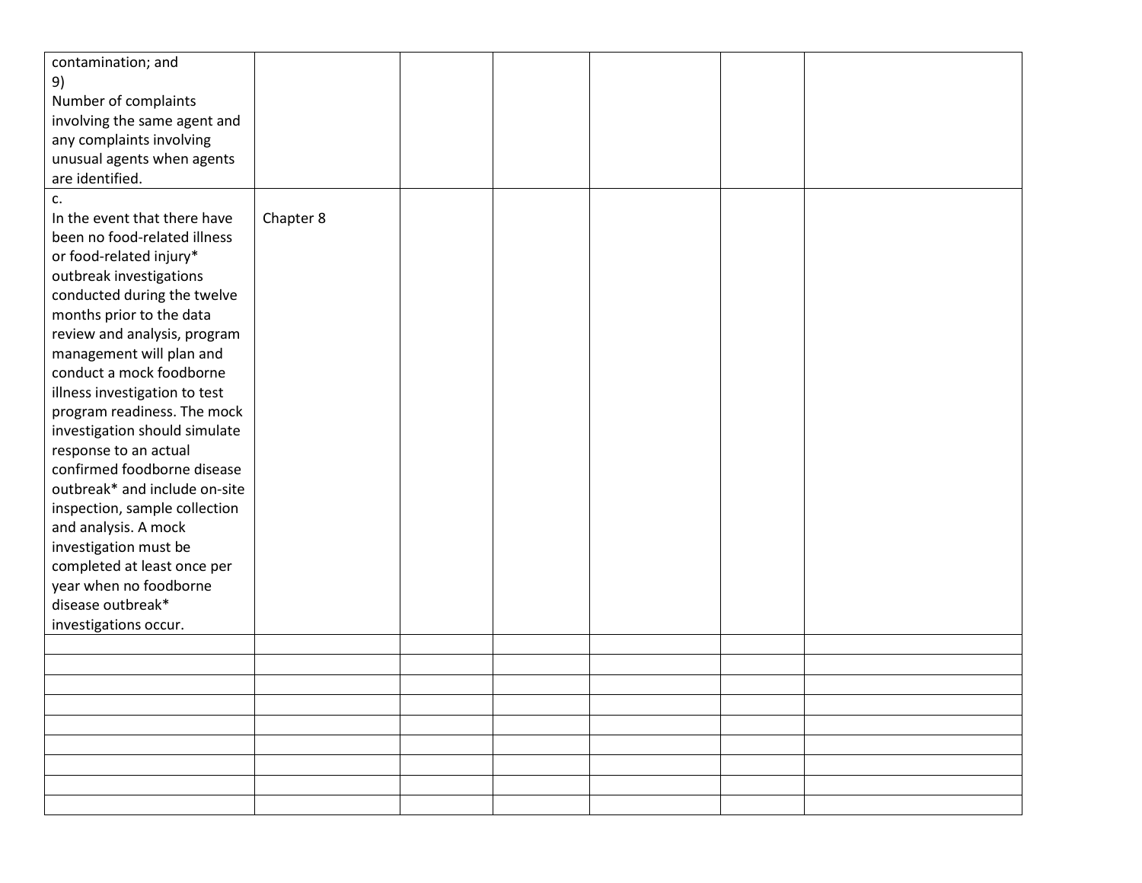| contamination; and            |           |  |  |  |
|-------------------------------|-----------|--|--|--|
| 9)                            |           |  |  |  |
| Number of complaints          |           |  |  |  |
| involving the same agent and  |           |  |  |  |
| any complaints involving      |           |  |  |  |
| unusual agents when agents    |           |  |  |  |
| are identified.               |           |  |  |  |
| c.                            |           |  |  |  |
| In the event that there have  | Chapter 8 |  |  |  |
| been no food-related illness  |           |  |  |  |
| or food-related injury*       |           |  |  |  |
| outbreak investigations       |           |  |  |  |
| conducted during the twelve   |           |  |  |  |
| months prior to the data      |           |  |  |  |
| review and analysis, program  |           |  |  |  |
| management will plan and      |           |  |  |  |
| conduct a mock foodborne      |           |  |  |  |
| illness investigation to test |           |  |  |  |
| program readiness. The mock   |           |  |  |  |
| investigation should simulate |           |  |  |  |
| response to an actual         |           |  |  |  |
| confirmed foodborne disease   |           |  |  |  |
| outbreak* and include on-site |           |  |  |  |
| inspection, sample collection |           |  |  |  |
| and analysis. A mock          |           |  |  |  |
| investigation must be         |           |  |  |  |
| completed at least once per   |           |  |  |  |
| year when no foodborne        |           |  |  |  |
| disease outbreak*             |           |  |  |  |
| investigations occur.         |           |  |  |  |
|                               |           |  |  |  |
|                               |           |  |  |  |
|                               |           |  |  |  |
|                               |           |  |  |  |
|                               |           |  |  |  |
|                               |           |  |  |  |
|                               |           |  |  |  |
|                               |           |  |  |  |
|                               |           |  |  |  |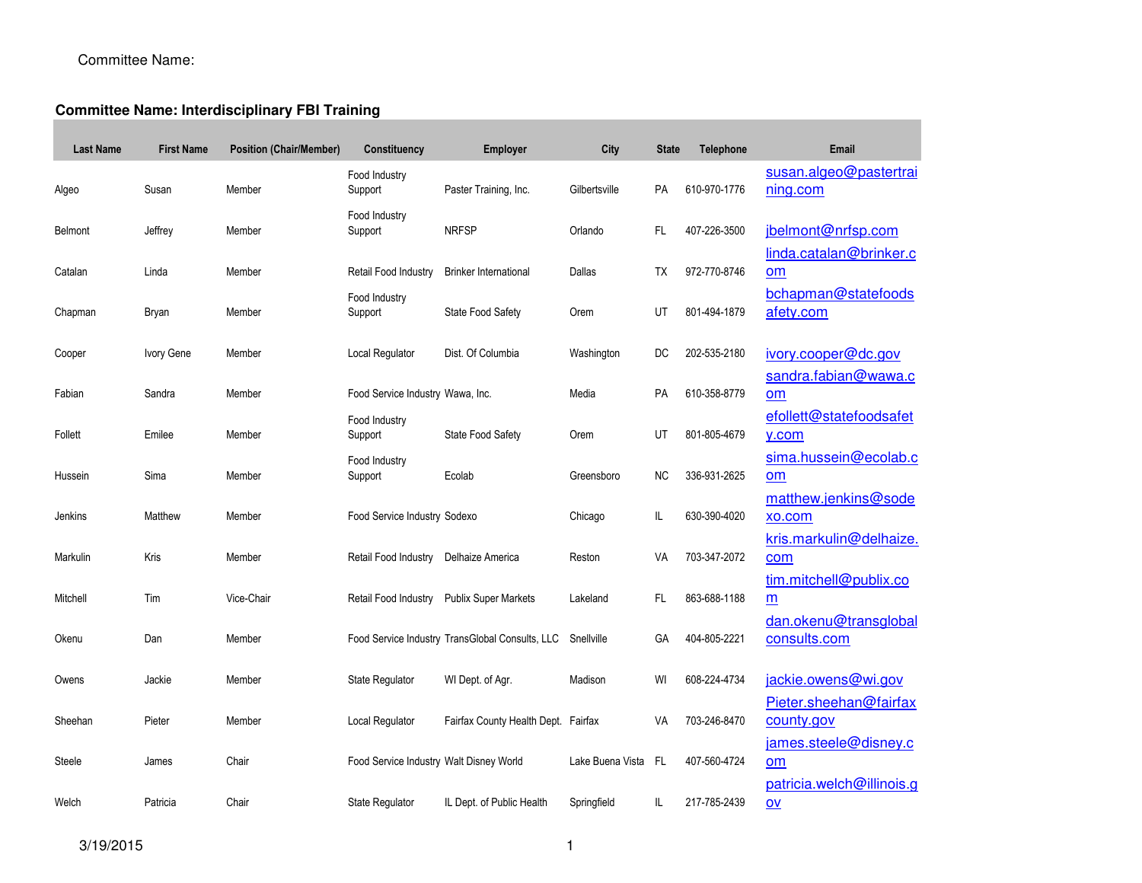# Committee Name:

#### **Committee Name: Interdisciplinary FBI Training**

| <b>Last Name</b> | <b>First Name</b> | <b>Position (Chair/Member)</b> | Constituency                            | <b>Employer</b>                                 | City             | <b>State</b> | <b>Telephone</b> | Email                                       |
|------------------|-------------------|--------------------------------|-----------------------------------------|-------------------------------------------------|------------------|--------------|------------------|---------------------------------------------|
| Algeo            | Susan             | Member                         | Food Industry<br>Support                | Paster Training, Inc.                           | Gilbertsville    | PA           | 610-970-1776     | susan.algeo@pastertrai<br>ning.com          |
| Belmont          | Jeffrey           | Member                         | Food Industry<br>Support                | <b>NRFSP</b>                                    | Orlando          | FL.          | 407-226-3500     | jbelmont@nrfsp.com                          |
| Catalan          | Linda             | Member                         | Retail Food Industry                    | <b>Brinker International</b>                    | Dallas           | TX           | 972-770-8746     | linda.catalan@brinker.c<br>om               |
| Chapman          | Bryan             | Member                         | Food Industry<br>Support                | State Food Safety                               | Orem             | UT           | 801-494-1879     | bchapman@statefoods<br>afety.com            |
| Cooper           | Ivory Gene        | Member                         | Local Regulator                         | Dist. Of Columbia                               | Washington       | DC           | 202-535-2180     | ivory.cooper@dc.gov<br>sandra.fabian@wawa.c |
| Fabian           | Sandra            | Member                         | Food Service Industry Wawa, Inc.        |                                                 | Media            | <b>PA</b>    | 610-358-8779     | om                                          |
| Follett          | Emilee            | Member                         | Food Industry<br>Support                | State Food Safety                               | Orem             | UT           | 801-805-4679     | efollett@statefoodsafet<br>y.com            |
| Hussein          | Sima              | Member                         | Food Industry<br>Support                | Ecolab                                          | Greensboro       | <b>NC</b>    | 336-931-2625     | sima.hussein@ecolab.c<br>om                 |
| Jenkins          | Matthew           | Member                         | Food Service Industry Sodexo            |                                                 | Chicago          | IL           | 630-390-4020     | matthew.jenkins@sode<br>xo.com              |
| Markulin         | Kris              | Member                         | Retail Food Industry                    | Delhaize America                                | Reston           | VA           | 703-347-2072     | kris.markulin@delhaize<br>com               |
| Mitchell         | Tim               | Vice-Chair                     | Retail Food Industry                    | <b>Publix Super Markets</b>                     | Lakeland         | FL           | 863-688-1188     | tim.mitchell@publix.co<br>m                 |
| Okenu            | Dan               | Member                         |                                         | Food Service Industry TransGlobal Consults, LLC | Snellville       | GA           | 404-805-2221     | dan.okenu@transglobal<br>consults.com       |
| Owens            | Jackie            | Member                         | State Regulator                         | WI Dept. of Agr.                                | Madison          | WI           | 608-224-4734     | jackie.owens@wi.gov                         |
| Sheehan          | Pieter            | Member                         | Local Regulator                         | Fairfax County Health Dept. Fairfax             |                  | VA           | 703-246-8470     | Pieter.sheehan@fairfax<br>county.gov        |
| Steele           | James             | Chair                          | Food Service Industry Walt Disney World |                                                 | Lake Buena Vista | - FL         | 407-560-4724     | james.steele@disney.c<br>om                 |
| Welch            | Patricia          | Chair                          | State Regulator                         | IL Dept. of Public Health                       | Springfield      | IL           | 217-785-2439     | patricia.welch@illinois.g<br>$ov$           |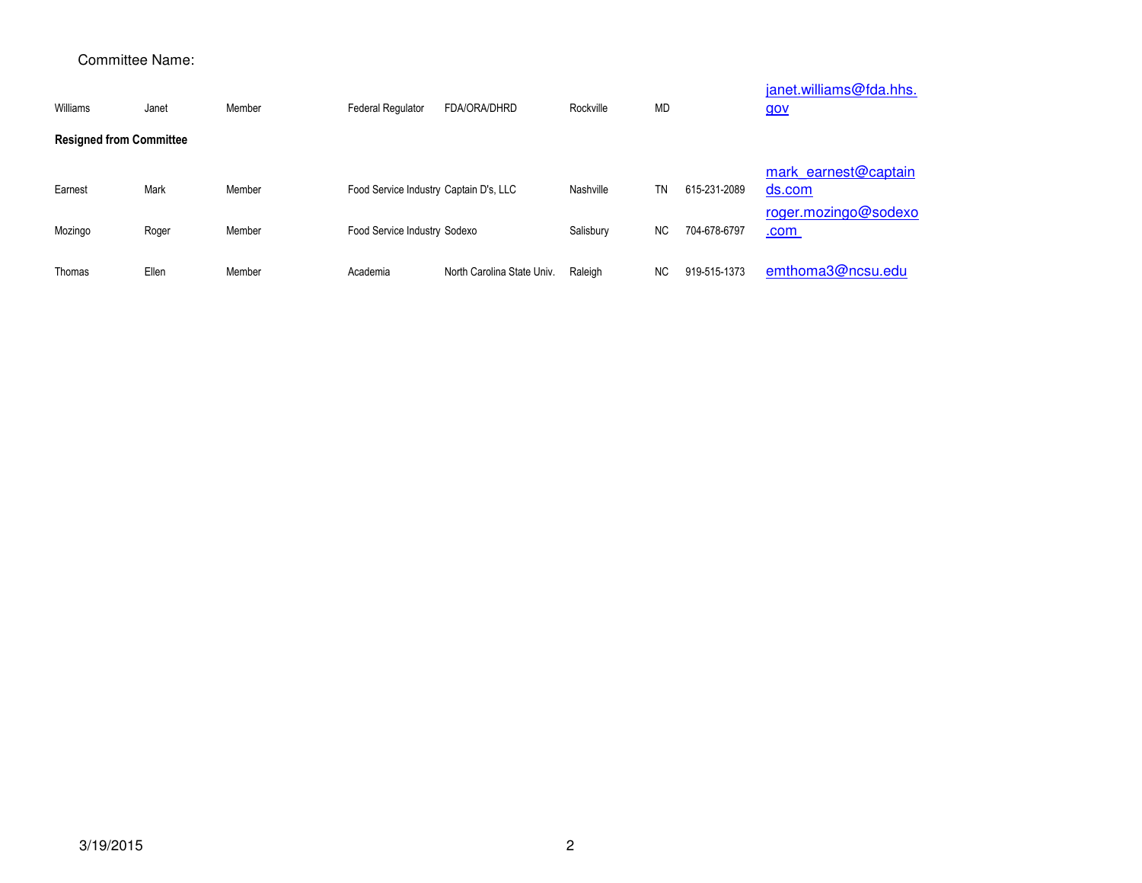### Committee Name:

| Williams                       | Janet | Member | <b>Federal Regulator</b>               | FDA/ORA/DHRD               | Rockville | <b>MD</b> |              | janet.williams@fda.hhs.<br><u>gov</u> |
|--------------------------------|-------|--------|----------------------------------------|----------------------------|-----------|-----------|--------------|---------------------------------------|
| <b>Resigned from Committee</b> |       |        |                                        |                            |           |           |              |                                       |
| Earnest                        | Mark  | Member | Food Service Industry Captain D's, LLC |                            | Nashville | TN        | 615-231-2089 | mark earnest@captain<br>ds.com        |
| Mozingo                        | Roger | Member | Food Service Industry Sodexo           |                            | Salisbury | NC.       | 704-678-6797 | roger.mozingo@sodexo<br>.com          |
| Thomas                         | Ellen | Member | Academia                               | North Carolina State Univ. | Raleigh   | <b>NC</b> | 919-515-1373 | emthoma3@ncsu.edu                     |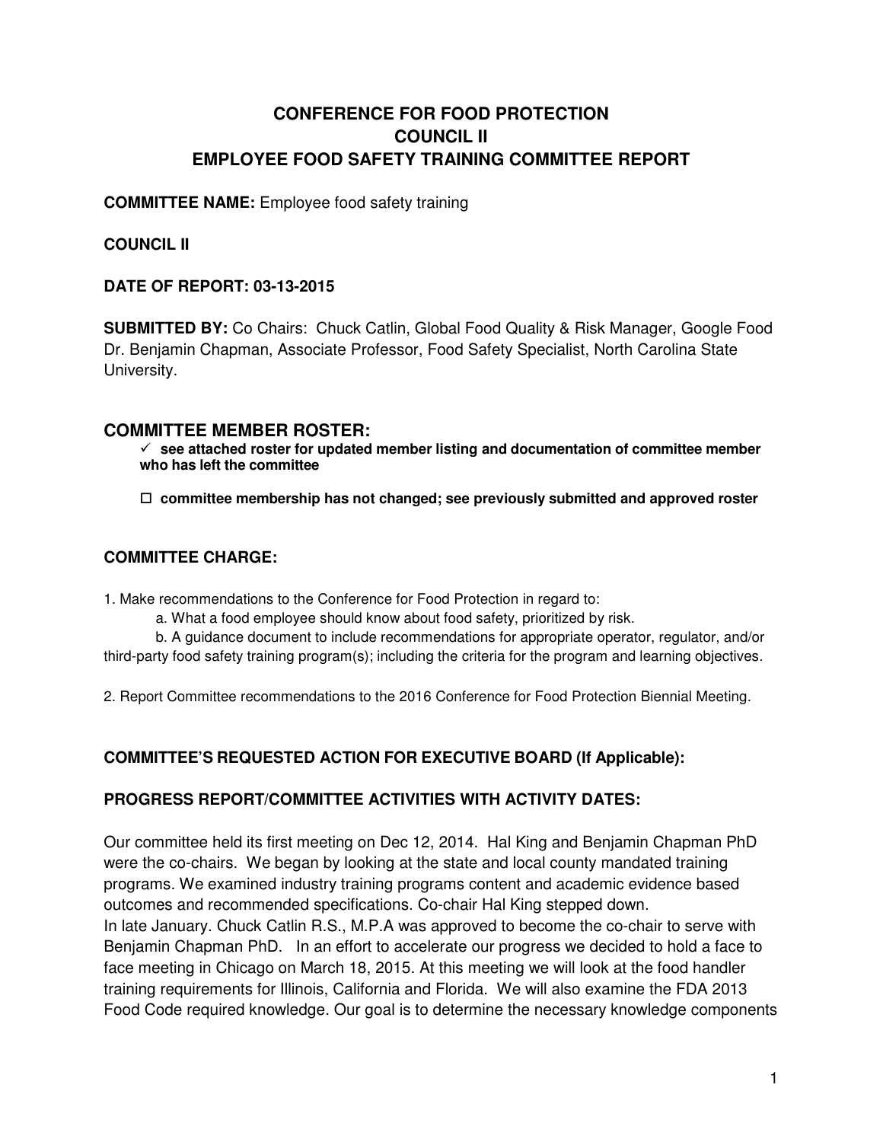# **CONFERENCE FOR FOOD PROTECTION COUNCIL II EMPLOYEE FOOD SAFETY TRAINING COMMITTEE REPORT**

#### **COMMITTEE NAME:** Employee food safety training

### **COUNCIL II**

#### **DATE OF REPORT: 03-13-2015**

**SUBMITTED BY:** Co Chairs: Chuck Catlin, Global Food Quality & Risk Manager, Google Food Dr. Benjamin Chapman, Associate Professor, Food Safety Specialist, North Carolina State University.

#### **COMMITTEE MEMBER ROSTER:**

 **see attached roster for updated member listing and documentation of committee member who has left the committee**

□ committee membership has not changed; see previously submitted and approved roster

#### **COMMITTEE CHARGE:**

1. Make recommendations to the Conference for Food Protection in regard to:

a. What a food employee should know about food safety, prioritized by risk.

b. A guidance document to include recommendations for appropriate operator, regulator, and/or third-party food safety training program(s); including the criteria for the program and learning objectives.

2. Report Committee recommendations to the 2016 Conference for Food Protection Biennial Meeting.

## **COMMITTEE'S REQUESTED ACTION FOR EXECUTIVE BOARD (If Applicable):**

## **PROGRESS REPORT/COMMITTEE ACTIVITIES WITH ACTIVITY DATES:**

Our committee held its first meeting on Dec 12, 2014. Hal King and Benjamin Chapman PhD were the co-chairs. We began by looking at the state and local county mandated training programs. We examined industry training programs content and academic evidence based outcomes and recommended specifications. Co-chair Hal King stepped down. In late January. Chuck Catlin R.S., M.P.A was approved to become the co-chair to serve with Benjamin Chapman PhD. In an effort to accelerate our progress we decided to hold a face to face meeting in Chicago on March 18, 2015. At this meeting we will look at the food handler training requirements for Illinois, California and Florida. We will also examine the FDA 2013 Food Code required knowledge. Our goal is to determine the necessary knowledge components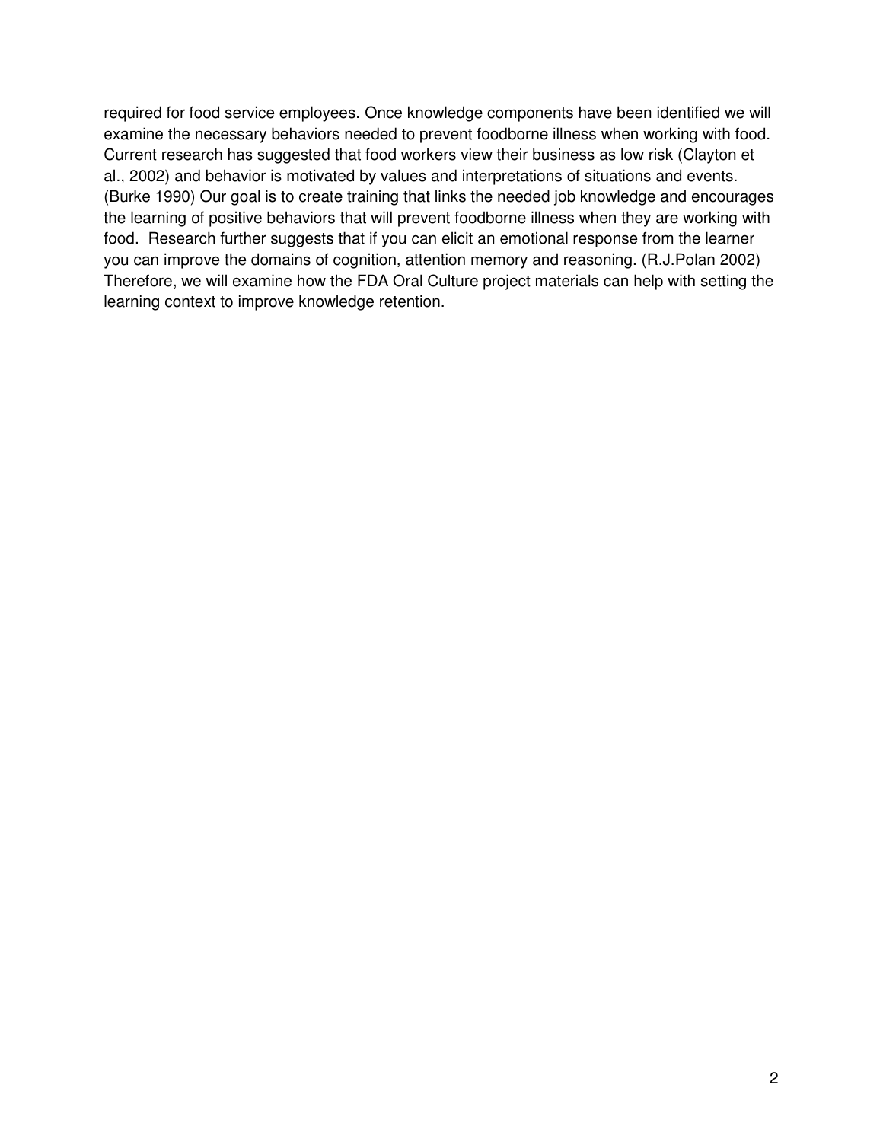required for food service employees. Once knowledge components have been identified we will examine the necessary behaviors needed to prevent foodborne illness when working with food. Current research has suggested that food workers view their business as low risk (Clayton et al., 2002) and behavior is motivated by values and interpretations of situations and events. (Burke 1990) Our goal is to create training that links the needed job knowledge and encourages the learning of positive behaviors that will prevent foodborne illness when they are working with food. Research further suggests that if you can elicit an emotional response from the learner you can improve the domains of cognition, attention memory and reasoning. (R.J.Polan 2002) Therefore, we will examine how the FDA Oral Culture project materials can help with setting the learning context to improve knowledge retention.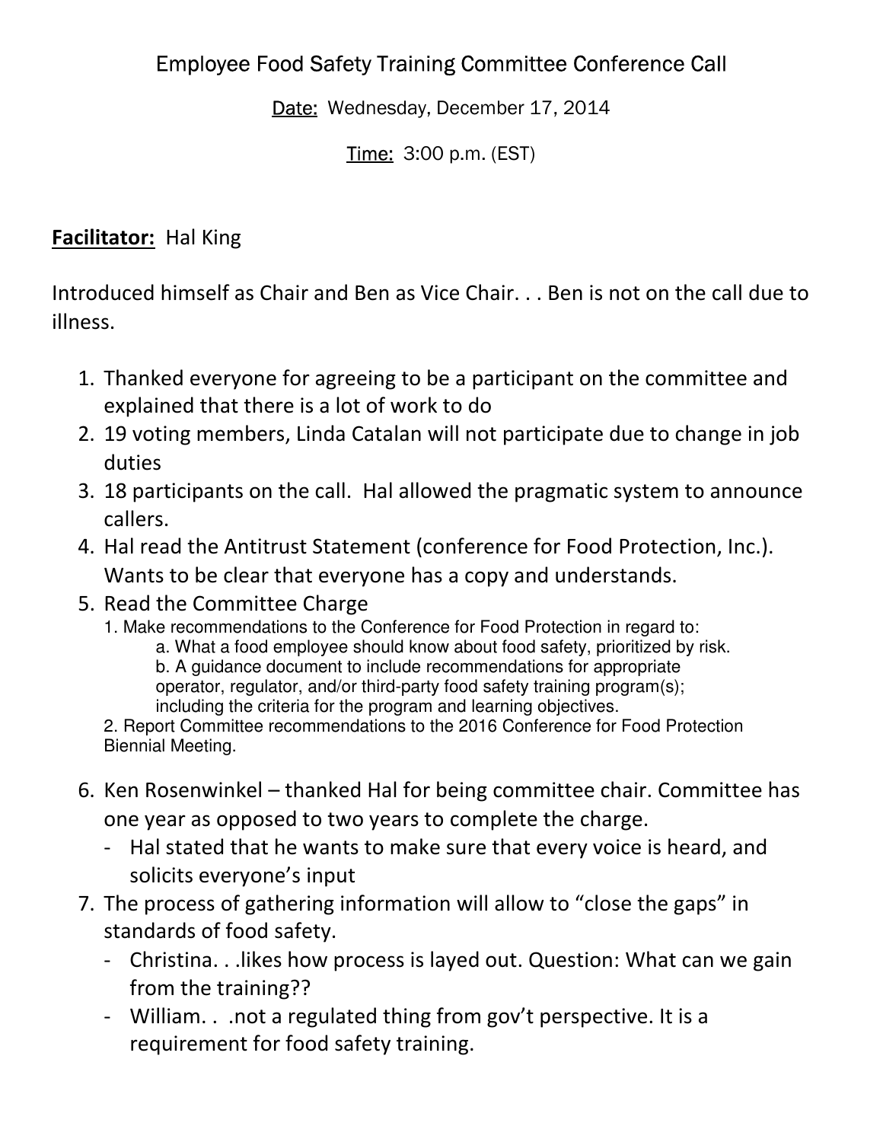# Employee Food Safety Training Committee Conference Call

Date: Wednesday, December 17, 2014

Time: 3:00 p.m. (EST)

# **Facilitator:** Hal King

Introduced himself as Chair and Ben as Vice Chair. . . Ben is not on the call due to illness.

- 1. Thanked everyone for agreeing to be a participant on the committee and explained that there is a lot of work to do
- 2. 19 voting members, Linda Catalan will not participate due to change in job duties
- 3. 18 participants on the call. Hal allowed the pragmatic system to announce callers.
- 4. Hal read the Antitrust Statement (conference for Food Protection, Inc.). Wants to be clear that everyone has a copy and understands.
- 5. Read the Committee Charge
	- 1. Make recommendations to the Conference for Food Protection in regard to:
		- a. What a food employee should know about food safety, prioritized by risk. b. A guidance document to include recommendations for appropriate operator, regulator, and/or third-party food safety training program(s); including the criteria for the program and learning objectives.
	- 2. Report Committee recommendations to the 2016 Conference for Food Protection Biennial Meeting.
- 6. Ken Rosenwinkel thanked Hal for being committee chair. Committee has one year as opposed to two years to complete the charge.
	- Hal stated that he wants to make sure that every voice is heard, and solicits everyone's input
- 7. The process of gathering information will allow to "close the gaps" in standards of food safety.
	- Christina. . .likes how process is layed out. Question: What can we gain from the training??
	- William. . .not a regulated thing from gov't perspective. It is a requirement for food safety training.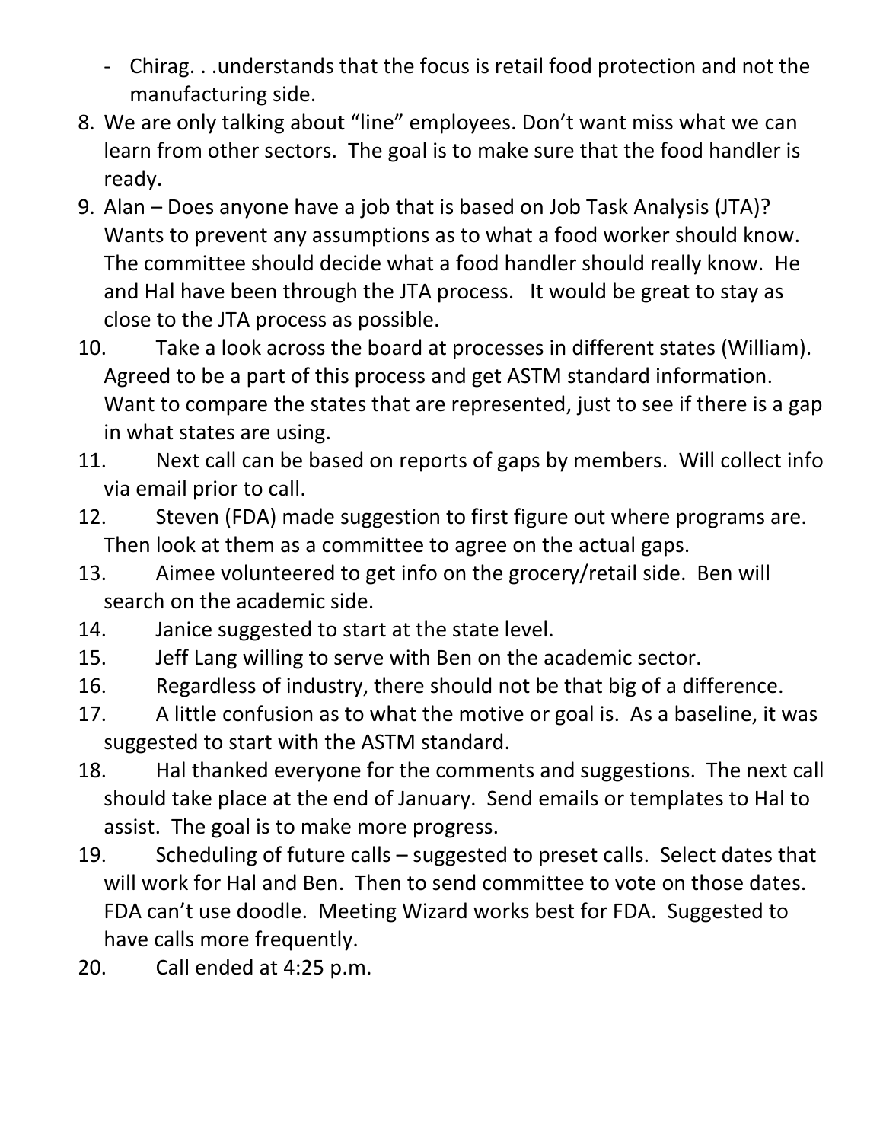- Chirag. . .understands that the focus is retail food protection and not the manufacturing side.
- 8. We are only talking about "line" employees. Don't want miss what we can learn from other sectors. The goal is to make sure that the food handler is ready.
- 9. Alan Does anyone have a job that is based on Job Task Analysis (JTA)? Wants to prevent any assumptions as to what a food worker should know. The committee should decide what a food handler should really know. He and Hal have been through the JTA process. It would be great to stay as close to the JTA process as possible.
- 10. Take a look across the board at processes in different states (William). Agreed to be a part of this process and get ASTM standard information. Want to compare the states that are represented, just to see if there is a gap in what states are using.
- 11. Next call can be based on reports of gaps by members. Will collect info via email prior to call.
- 12. Steven (FDA) made suggestion to first figure out where programs are. Then look at them as a committee to agree on the actual gaps.
- 13. Aimee volunteered to get info on the grocery/retail side. Ben will search on the academic side.
- 14. Janice suggested to start at the state level.
- 15. Jeff Lang willing to serve with Ben on the academic sector.
- 16. Regardless of industry, there should not be that big of a difference.
- 17. A little confusion as to what the motive or goal is. As a baseline, it was suggested to start with the ASTM standard.
- 18. Hal thanked everyone for the comments and suggestions. The next call should take place at the end of January. Send emails or templates to Hal to assist. The goal is to make more progress.
- 19. Scheduling of future calls suggested to preset calls. Select dates that will work for Hal and Ben. Then to send committee to vote on those dates. FDA can't use doodle. Meeting Wizard works best for FDA. Suggested to have calls more frequently.
- 20. Call ended at 4:25 p.m.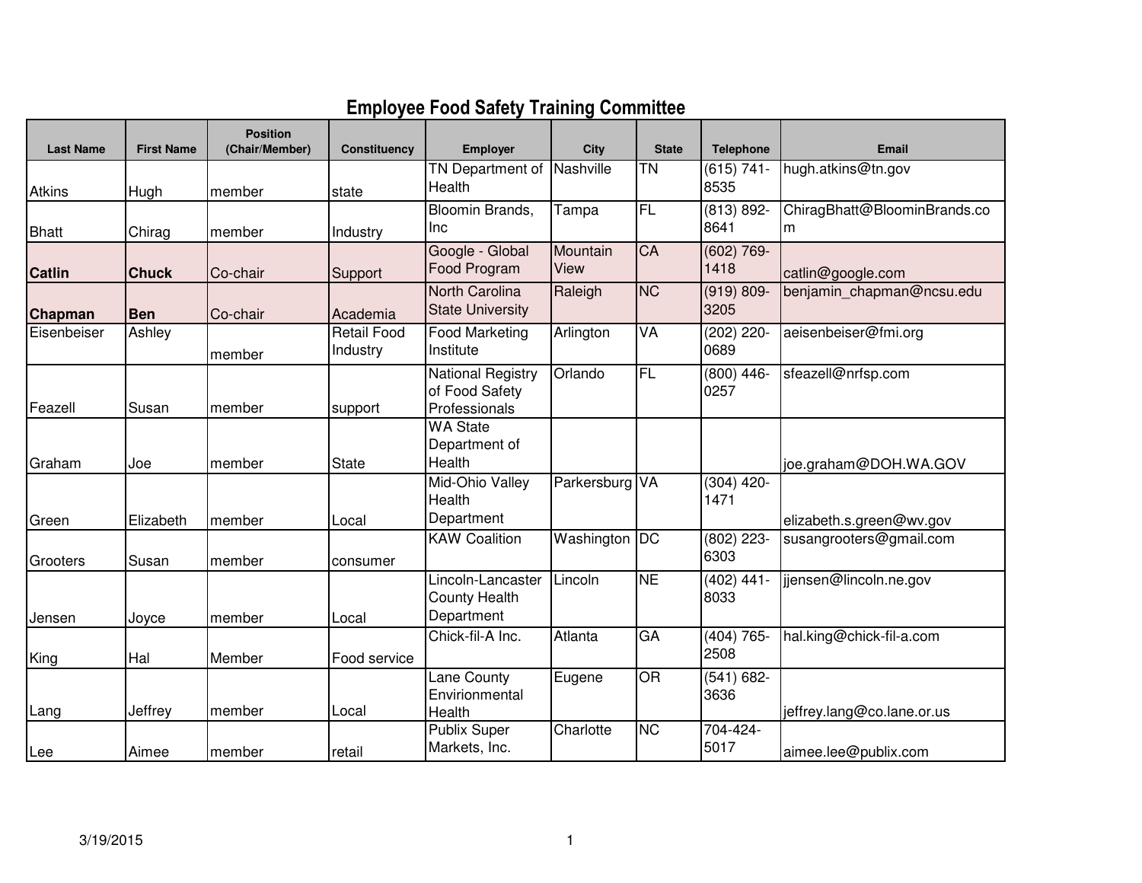# **Employee Food Safety Training Committee**

| <b>Last Name</b> | <b>First Name</b> | <b>Position</b><br>(Chair/Member) | <b>Constituency</b>            | <b>Employer</b>                                             | <b>City</b>      | <b>State</b>    | <b>Telephone</b>      | <b>Email</b>                 |
|------------------|-------------------|-----------------------------------|--------------------------------|-------------------------------------------------------------|------------------|-----------------|-----------------------|------------------------------|
|                  |                   |                                   |                                | <b>TN Department of Nashville</b><br>Health                 |                  | $\overline{T}N$ | $(615) 741 -$<br>8535 | hugh.atkins@tn.gov           |
| <b>Atkins</b>    | Hugh              | member                            | state                          | Bloomin Brands,                                             | Tampa            | FL              | $(813) 892 -$         | ChiragBhatt@BloominBrands.co |
| <b>Bhatt</b>     | Chirag            | member                            | Industry                       | Inc                                                         |                  |                 | 8641                  | m                            |
| <b>Catlin</b>    | <b>Chuck</b>      | Co-chair                          | Support                        | Google - Global<br>Food Program                             | Mountain<br>View | CA              | $(602) 769 -$<br>1418 | catlin@google.com            |
| <b>Chapman</b>   | <b>Ben</b>        | Co-chair                          | Academia                       | North Carolina<br><b>State University</b>                   | Raleigh          | <b>NC</b>       | $(919) 809 -$<br>3205 | benjamin chapman@ncsu.edu    |
| Eisenbeiser      | Ashley            | member                            | <b>Retail Food</b><br>Industry | <b>Food Marketing</b><br>Institute                          | Arlington        | VA              | (202) 220-<br>0689    | aeisenbeiser@fmi.org         |
| Feazell          | Susan             | member                            | support                        | <b>National Registry</b><br>of Food Safety<br>Professionals | Orlando          | <b>FL</b>       | $(800)$ 446-<br>0257  | sfeazell@nrfsp.com           |
| Graham           | Joe               | member                            | <b>State</b>                   | <b>WA State</b><br>Department of<br>Health                  |                  |                 |                       | joe.graham@DOH.WA.GOV        |
| Green            | Elizabeth         | member                            | Local                          | Mid-Ohio Valley<br>Health<br>Department                     | Parkersburg VA   |                 | $(304)$ 420-<br>1471  | elizabeth.s.green@wv.gov     |
| Grooters         | Susan             | member                            | consumer                       | <b>KAW Coalition</b>                                        | Washington       | $\overline{DC}$ | $(802)$ 223-<br>6303  | susangrooters@gmail.com      |
| Jensen           | Joyce             | member                            | Local                          | Lincoln-Lancaster<br><b>County Health</b><br>Department     | Lincoln          | <b>NE</b>       | $(402)$ 441-<br>8033  | jjensen@lincoln.ne.gov       |
| King             | Hal               | Member                            | Food service                   | Chick-fil-A Inc.                                            | Atlanta          | GA              | $(404) 765 -$<br>2508 | hal.king@chick-fil-a.com     |
| Lang             | Jeffrey           | member                            | Local                          | Lane County<br>Envirionmental<br>Health                     | Eugene           | OR              | $(541) 682 -$<br>3636 | jeffrey.lang@co.lane.or.us   |
| Lee              | Aimee             | member                            | retail                         | <b>Publix Super</b><br>Markets, Inc.                        | Charlotte        | <b>NC</b>       | 704-424-<br>5017      | aimee.lee@publix.com         |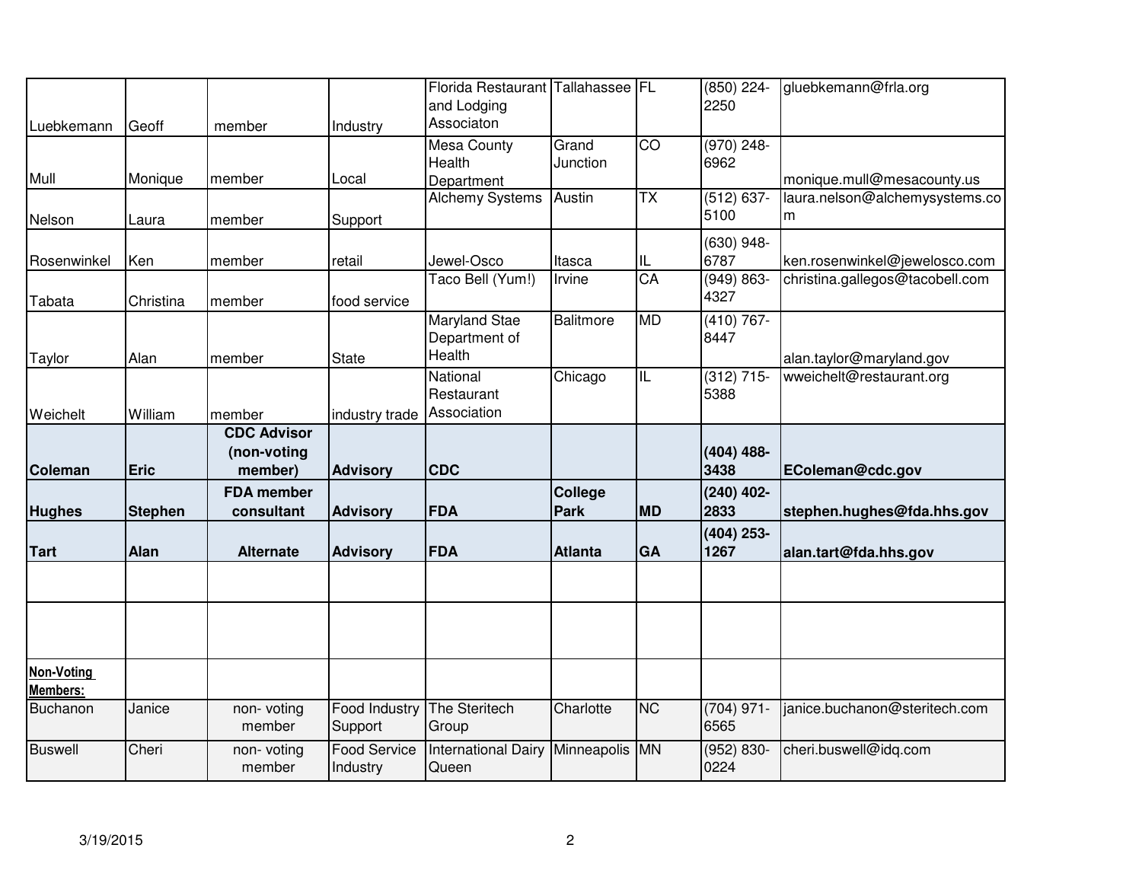|                                      |                |                              |                                 | Florida Restaurant Tallahassee   FL<br>and Lodging |                  |                          | $(850)$ 224-<br>2250  | gluebkemann@frla.org            |
|--------------------------------------|----------------|------------------------------|---------------------------------|----------------------------------------------------|------------------|--------------------------|-----------------------|---------------------------------|
| Luebkemann                           | Geoff          | member                       | Industry                        | Associaton                                         |                  |                          |                       |                                 |
|                                      |                |                              |                                 | Mesa County                                        | Grand            | CO                       | $(970)$ 248-          |                                 |
| Mull                                 | Monique        | member                       | Local                           | Health<br>Department                               | Junction         |                          | 6962                  | monique.mull@mesacounty.us      |
|                                      |                |                              |                                 | <b>Alchemy Systems</b>                             | Austin           | $\overline{TX}$          | $(512) 637 -$         | laura.nelson@alchemysystems.co  |
| Nelson                               | Laura          | member                       | Support                         |                                                    |                  |                          | 5100                  | m                               |
|                                      |                |                              |                                 |                                                    |                  |                          | $(630)$ 948-          |                                 |
| Rosenwinkel                          | Ken            | member                       | retail                          | Jewel-Osco                                         | Itasca           | IL                       | 6787                  | ken.rosenwinkel@jewelosco.com   |
| Tabata                               | Christina      | member                       | food service                    | Taco Bell (Yum!)                                   | Irvine           | CA                       | $(949) 863 -$<br>4327 | christina.gallegos@tacobell.com |
|                                      |                |                              |                                 | <b>Maryland Stae</b><br>Department of              | <b>Balitmore</b> | <b>MD</b>                | $(410) 767 -$<br>8447 |                                 |
| Taylor                               | Alan           | member                       | <b>State</b>                    | Health                                             |                  |                          |                       | alan.taylor@maryland.gov        |
|                                      |                |                              |                                 | National                                           | Chicago          | $\overline{\mathsf{IL}}$ | $(312)$ 715-          | wweichelt@restaurant.org        |
|                                      |                |                              |                                 | Restaurant                                         |                  |                          | 5388                  |                                 |
| Weichelt                             | William        | member<br><b>CDC Advisor</b> | industry trade                  | Association                                        |                  |                          |                       |                                 |
|                                      |                | (non-voting                  |                                 |                                                    |                  |                          | $(404)$ 488-          |                                 |
| Coleman                              | <b>Eric</b>    | member)                      | <b>Advisory</b>                 | <b>CDC</b>                                         |                  |                          | 3438                  | EColeman@cdc.gov                |
|                                      |                | <b>FDA</b> member            |                                 |                                                    | College          |                          | $(240)$ 402-          |                                 |
| <b>Hughes</b>                        | <b>Stephen</b> | consultant                   | <b>Advisory</b>                 | FDA                                                | <b>Park</b>      | <b>MD</b>                | 2833                  | stephen.hughes@fda.hhs.gov      |
|                                      |                |                              |                                 |                                                    |                  |                          | $(404)$ 253-          |                                 |
| <b>Tart</b>                          | Alan           | <b>Alternate</b>             | <b>Advisory</b>                 | <b>FDA</b>                                         | <b>Atlanta</b>   | GA                       | 1267                  | alan.tart@fda.hhs.gov           |
|                                      |                |                              |                                 |                                                    |                  |                          |                       |                                 |
|                                      |                |                              |                                 |                                                    |                  |                          |                       |                                 |
| <b>Non-Voting</b><br><b>Members:</b> |                |                              |                                 |                                                    |                  |                          |                       |                                 |
| Buchanon                             | Janice         | non-voting<br>member         | <b>Food Industry</b><br>Support | The Steritech<br>Group                             | Charlotte        | <b>NC</b>                | $(704)$ 971-<br>6565  | janice.buchanon@steritech.com   |
| <b>Buswell</b>                       | Cheri          | non-voting<br>member         | <b>Food Service</b><br>Industry | International Dairy Minneapolis MN<br>Queen        |                  |                          | $(952) 830 -$<br>0224 | cheri.buswell@idq.com           |